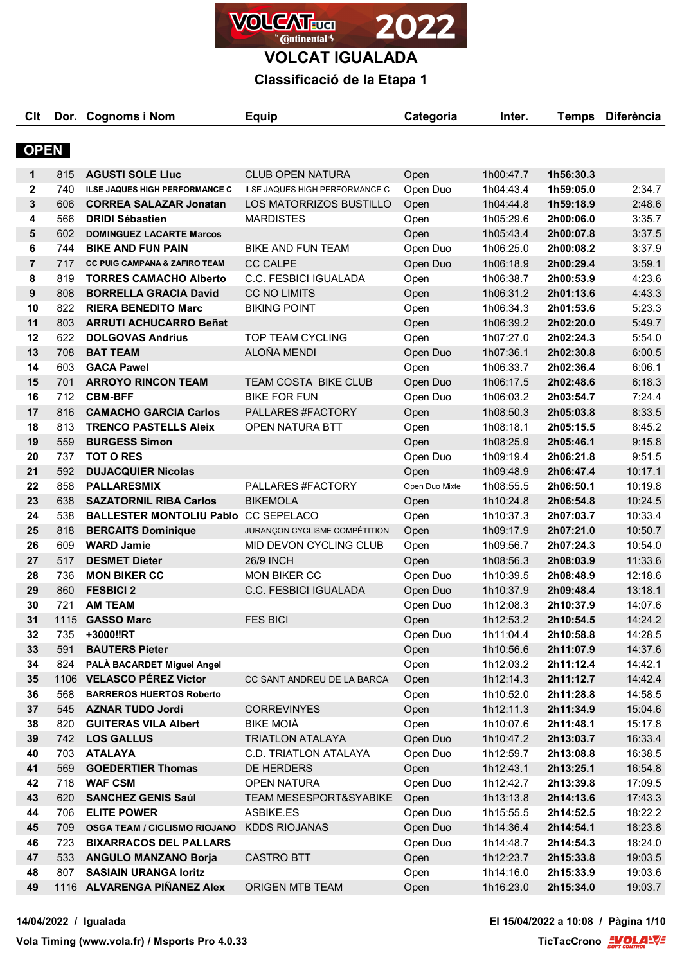

# **Classificació de la Etapa 1**

| CIt            |     | Dor. Cognoms i Nom                       | <b>Equip</b>                      | Categoria      | Inter.    | <b>Temps</b> | <b>Diferència</b> |
|----------------|-----|------------------------------------------|-----------------------------------|----------------|-----------|--------------|-------------------|
| <b>OPEN</b>    |     |                                          |                                   |                |           |              |                   |
| 1              | 815 | <b>AGUSTI SOLE LIUC</b>                  | <b>CLUB OPEN NATURA</b>           | Open           | 1h00:47.7 | 1h56:30.3    |                   |
| $\mathbf{2}$   | 740 | <b>ILSE JAQUES HIGH PERFORMANCE C</b>    | ILSE JAQUES HIGH PERFORMANCE C    | Open Duo       | 1h04:43.4 | 1h59:05.0    | 2:34.7            |
| 3              | 606 | <b>CORREA SALAZAR Jonatan</b>            | LOS MATORRIZOS BUSTILLO           | Open           | 1h04:44.8 | 1h59:18.9    | 2:48.6            |
| 4              | 566 | <b>DRIDI Sébastien</b>                   | <b>MARDISTES</b>                  | Open           | 1h05:29.6 | 2h00:06.0    | 3:35.7            |
| 5              | 602 | <b>DOMINGUEZ LACARTE Marcos</b>          |                                   | Open           | 1h05:43.4 | 2h00:07.8    | 3:37.5            |
| 6              | 744 | <b>BIKE AND FUN PAIN</b>                 | <b>BIKE AND FUN TEAM</b>          | Open Duo       | 1h06:25.0 | 2h00:08.2    | 3:37.9            |
| $\overline{7}$ | 717 | <b>CC PUIG CAMPANA &amp; ZAFIRO TEAM</b> | <b>CC CALPE</b>                   | Open Duo       | 1h06:18.9 | 2h00:29.4    | 3:59.1            |
| 8              | 819 | <b>TORRES CAMACHO Alberto</b>            | C.C. FESBICI IGUALADA             | Open           | 1h06:38.7 | 2h00:53.9    | 4:23.6            |
| 9              | 808 | <b>BORRELLA GRACIA David</b>             | <b>CC NO LIMITS</b>               | Open           | 1h06:31.2 | 2h01:13.6    | 4:43.3            |
| 10             | 822 | <b>RIERA BENEDITO Marc</b>               | <b>BIKING POINT</b>               | Open           | 1h06:34.3 | 2h01:53.6    | 5:23.3            |
| 11             | 803 | <b>ARRUTI ACHUCARRO Beñat</b>            |                                   | Open           | 1h06:39.2 | 2h02:20.0    | 5:49.7            |
| 12             | 622 | <b>DOLGOVAS Andrius</b>                  | TOP TEAM CYCLING                  | Open           | 1h07:27.0 | 2h02:24.3    | 5:54.0            |
| 13             | 708 | <b>BAT TEAM</b>                          | ALOÑA MENDI                       | Open Duo       | 1h07:36.1 | 2h02:30.8    | 6:00.5            |
| 14             | 603 | <b>GACA Pawel</b>                        |                                   | Open           | 1h06:33.7 | 2h02:36.4    | 6:06.1            |
| 15             | 701 | <b>ARROYO RINCON TEAM</b>                | <b>TEAM COSTA BIKE CLUB</b>       | Open Duo       | 1h06:17.5 | 2h02:48.6    | 6:18.3            |
| 16             | 712 | <b>CBM-BFF</b>                           | <b>BIKE FOR FUN</b>               | Open Duo       | 1h06:03.2 | 2h03:54.7    | 7:24.4            |
| 17             | 816 | <b>CAMACHO GARCIA Carlos</b>             | PALLARES #FACTORY                 | Open           | 1h08:50.3 | 2h05:03.8    | 8:33.5            |
| 18             | 813 | <b>TRENCO PASTELLS Aleix</b>             | OPEN NATURA BTT                   | Open           | 1h08:18.1 | 2h05:15.5    | 8:45.2            |
| 19             | 559 | <b>BURGESS Simon</b>                     |                                   | Open           | 1h08:25.9 | 2h05:46.1    | 9:15.8            |
| 20             | 737 | <b>TOT O RES</b>                         |                                   | Open Duo       | 1h09:19.4 | 2h06:21.8    | 9:51.5            |
| 21             | 592 | <b>DUJACQUIER Nicolas</b>                |                                   | Open           | 1h09:48.9 | 2h06:47.4    | 10:17.1           |
| 22             | 858 | <b>PALLARESMIX</b>                       | PALLARES #FACTORY                 | Open Duo Mixte | 1h08:55.5 | 2h06:50.1    | 10:19.8           |
| 23             | 638 | <b>SAZATORNIL RIBA Carlos</b>            | <b>BIKEMOLA</b>                   | Open           | 1h10:24.8 | 2h06:54.8    | 10:24.5           |
| 24             | 538 | <b>BALLESTER MONTOLIU Pablo</b>          | <b>CC SEPELACO</b>                | Open           | 1h10:37.3 | 2h07:03.7    | 10:33.4           |
| 25             | 818 | <b>BERCAITS Dominique</b>                | JURANÇON CYCLISME COMPÉTITION     | Open           | 1h09:17.9 | 2h07:21.0    | 10:50.7           |
| 26             | 609 | <b>WARD Jamie</b>                        | MID DEVON CYCLING CLUB            | Open           | 1h09:56.7 | 2h07:24.3    | 10:54.0           |
| 27             | 517 | <b>DESMET Dieter</b>                     | <b>26/9 INCH</b>                  | Open           | 1h08:56.3 | 2h08:03.9    | 11:33.6           |
| 28             | 736 | <b>MON BIKER CC</b>                      | MON BIKER CC                      | Open Duo       | 1h10:39.5 | 2h08:48.9    | 12:18.6           |
| 29             | 860 | <b>FESBICI 2</b>                         | C.C. FESBICI IGUALADA             | Open Duo       | 1h10:37.9 | 2h09:48.4    | 13:18.1           |
| 30             | 721 | <b>AM TEAM</b>                           |                                   | Open Duo       | 1h12:08.3 | 2h10:37.9    | 14:07.6           |
| 31             |     | 1115 GASSO Marc                          | <b>FES BICI</b>                   | Open           | 1h12:53.2 | 2h10:54.5    | 14:24.2           |
| 32             | 735 | +3000‼RT                                 |                                   | Open Duo       | 1h11:04.4 | 2h10:58.8    | 14:28.5           |
| 33             | 591 | <b>BAUTERS Pieter</b>                    |                                   | Open           | 1h10:56.6 | 2h11:07.9    | 14:37.6           |
| 34             | 824 | PALÀ BACARDET Miguel Angel               |                                   | Open           | 1h12:03.2 | 2h11:12.4    | 14:42.1           |
| 35             |     | 1106 VELASCO PÉREZ Victor                | CC SANT ANDREU DE LA BARCA        | Open           | 1h12:14.3 | 2h11:12.7    | 14:42.4           |
| 36             | 568 | <b>BARREROS HUERTOS Roberto</b>          |                                   | Open           | 1h10:52.0 | 2h11:28.8    | 14:58.5           |
| 37             | 545 | <b>AZNAR TUDO Jordi</b>                  | <b>CORREVINYES</b>                | Open           | 1h12:11.3 | 2h11:34.9    | 15:04.6           |
| 38             | 820 | <b>GUITERAS VILA Albert</b>              | <b>BIKE MOIÀ</b>                  | Open           | 1h10:07.6 | 2h11:48.1    | 15:17.8           |
| 39             |     | 742 LOS GALLUS                           | <b>TRIATLON ATALAYA</b>           | Open Duo       | 1h10:47.2 | 2h13:03.7    | 16:33.4           |
| 40             | 703 | <b>ATALAYA</b>                           | C.D. TRIATLON ATALAYA             | Open Duo       | 1h12:59.7 | 2h13:08.8    | 16:38.5           |
| 41             | 569 | <b>GOEDERTIER Thomas</b>                 | DE HERDERS                        | Open           | 1h12:43.1 | 2h13:25.1    | 16:54.8           |
| 42             | 718 | <b>WAF CSM</b>                           | <b>OPEN NATURA</b>                | Open Duo       | 1h12:42.7 | 2h13:39.8    | 17:09.5           |
| 43             | 620 | <b>SANCHEZ GENIS Saúl</b>                | <b>TEAM MESESPORT&amp;SYABIKE</b> | Open           | 1h13:13.8 | 2h14:13.6    | 17:43.3           |
| 44             | 706 | <b>ELITE POWER</b>                       | ASBIKE.ES                         | Open Duo       | 1h15:55.5 | 2h14:52.5    | 18:22.2           |
| 45             | 709 | <b>OSGA TEAM / CICLISMO RIOJANO</b>      | <b>KDDS RIOJANAS</b>              | Open Duo       | 1h14:36.4 | 2h14:54.1    | 18:23.8           |
| 46             | 723 | <b>BIXARRACOS DEL PALLARS</b>            |                                   | Open Duo       | 1h14:48.7 | 2h14:54.3    | 18:24.0           |
| 47             | 533 | <b>ANGULO MANZANO Borja</b>              | <b>CASTRO BTT</b>                 | Open           | 1h12:23.7 | 2h15:33.8    | 19:03.5           |
| 48             | 807 | <b>SASIAIN URANGA loritz</b>             |                                   | Open           | 1h14:16.0 | 2h15:33.9    | 19:03.6           |
| 49             |     | 1116 ALVARENGA PIÑANEZ Alex              | ORIGEN MTB TEAM                   | Open           | 1h16:23.0 | 2h15:34.0    | 19:03.7           |

**14/04/2022 / Igualada El 15/04/2022 a 10:08 / Pàgina 1/10**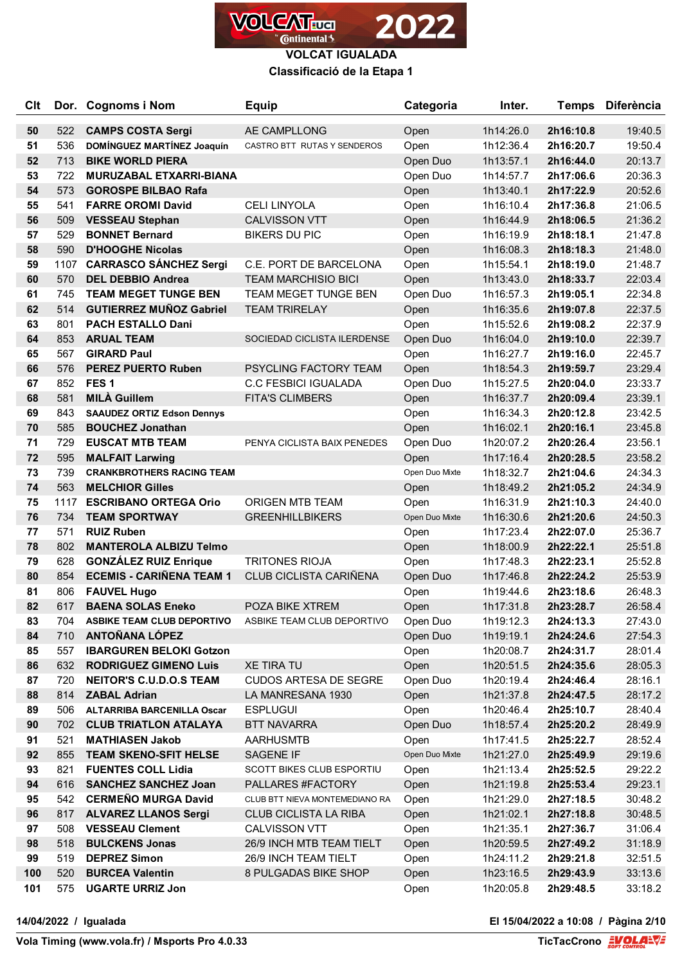

### **Classificació de la Etapa 1**

| <b>Clt</b> |            | Dor. Cognoms i Nom                                         | <b>Equip</b>                   | Categoria      | Inter.                 | <b>Temps</b>           | <b>Diferència</b>  |
|------------|------------|------------------------------------------------------------|--------------------------------|----------------|------------------------|------------------------|--------------------|
| 50         | 522        | <b>CAMPS COSTA Sergi</b>                                   | AE CAMPLLONG                   | Open           | 1h14:26.0              | 2h16:10.8              | 19:40.5            |
| 51         | 536        | <b>DOMÍNGUEZ MARTÍNEZ Joaquín</b>                          | CASTRO BTT RUTAS Y SENDEROS    | Open           | 1h12:36.4              | 2h16:20.7              | 19:50.4            |
| 52         | 713        | <b>BIKE WORLD PIERA</b>                                    |                                | Open Duo       | 1h13:57.1              | 2h16:44.0              | 20:13.7            |
| 53         | 722        | <b>MURUZABAL ETXARRI-BIANA</b>                             |                                | Open Duo       | 1h14:57.7              | 2h17:06.6              | 20:36.3            |
| 54         | 573        | <b>GOROSPE BILBAO Rafa</b>                                 |                                | Open           | 1h13:40.1              | 2h17:22.9              | 20:52.6            |
| 55         | 541        | <b>FARRE OROMI David</b>                                   | <b>CELI LINYOLA</b>            | Open           | 1h16:10.4              | 2h17:36.8              | 21:06.5            |
| 56         | 509        | <b>VESSEAU Stephan</b>                                     | <b>CALVISSON VTT</b>           | Open           | 1h16:44.9              | 2h18:06.5              | 21:36.2            |
| 57         | 529        | <b>BONNET Bernard</b>                                      | <b>BIKERS DU PIC</b>           | Open           | 1h16:19.9              | 2h18:18.1              | 21:47.8            |
| 58         | 590        | <b>D'HOOGHE Nicolas</b>                                    |                                | Open           | 1h16:08.3              | 2h18:18.3              | 21:48.0            |
| 59         | 1107       | <b>CARRASCO SÁNCHEZ Sergi</b>                              | C.E. PORT DE BARCELONA         | Open           | 1h15:54.1              | 2h18:19.0              | 21:48.7            |
| 60         | 570        | <b>DEL DEBBIO Andrea</b>                                   | <b>TEAM MARCHISIO BICI</b>     | Open           | 1h13:43.0              | 2h18:33.7              | 22:03.4            |
| 61         | 745        | <b>TEAM MEGET TUNGE BEN</b>                                | TEAM MEGET TUNGE BEN           | Open Duo       | 1h16:57.3              | 2h19:05.1              | 22:34.8            |
| 62         | 514        | <b>GUTIERREZ MUÑOZ Gabriel</b>                             | <b>TEAM TRIRELAY</b>           | Open           | 1h16:35.6              | 2h19:07.8              | 22:37.5            |
| 63         | 801        | <b>PACH ESTALLO Dani</b>                                   |                                | Open           | 1h15:52.6              | 2h19:08.2              | 22:37.9            |
| 64         | 853        | <b>ARUAL TEAM</b>                                          | SOCIEDAD CICLISTA ILERDENSE    | Open Duo       | 1h16:04.0              | 2h19:10.0              | 22:39.7            |
| 65         | 567        | <b>GIRARD Paul</b>                                         |                                | Open           | 1h16:27.7              | 2h19:16.0              | 22:45.7            |
| 66         | 576        | <b>PEREZ PUERTO Ruben</b>                                  | <b>PSYCLING FACTORY TEAM</b>   | Open           | 1h18:54.3              | 2h19:59.7              | 23:29.4            |
| 67         | 852        | FES <sub>1</sub>                                           | <b>C.C FESBICI IGUALADA</b>    | Open Duo       | 1h15:27.5              | 2h20:04.0              | 23:33.7            |
| 68         | 581        | <b>MILÀ Guillem</b>                                        | <b>FITA'S CLIMBERS</b>         | Open           | 1h16:37.7              | 2h20:09.4              | 23:39.1            |
| 69         | 843        | <b>SAAUDEZ ORTIZ Edson Dennys</b>                          |                                | Open           | 1h16:34.3              | 2h20:12.8              | 23:42.5            |
| 70         | 585        | <b>BOUCHEZ Jonathan</b>                                    |                                | Open           | 1h16:02.1              | 2h20:16.1              | 23:45.8            |
| 71         | 729        | <b>EUSCAT MTB TEAM</b>                                     | PENYA CICLISTA BAIX PENEDES    | Open Duo       | 1h20:07.2              | 2h20:26.4              | 23:56.1            |
| 72         | 595        | <b>MALFAIT Larwing</b><br><b>CRANKBROTHERS RACING TEAM</b> |                                | Open           | 1h17:16.4              | 2h20:28.5              | 23:58.2            |
| 73<br>74   | 739<br>563 | <b>MELCHIOR Gilles</b>                                     |                                | Open Duo Mixte | 1h18:32.7              | 2h21:04.6              | 24:34.3            |
| 75         | 1117       | <b>ESCRIBANO ORTEGA Orio</b>                               | <b>ORIGEN MTB TEAM</b>         | Open<br>Open   | 1h18:49.2<br>1h16:31.9 | 2h21:05.2<br>2h21:10.3 | 24:34.9<br>24:40.0 |
| 76         | 734        | <b>TEAM SPORTWAY</b>                                       | <b>GREENHILLBIKERS</b>         | Open Duo Mixte | 1h16:30.6              | 2h21:20.6              | 24:50.3            |
| 77         | 571        | <b>RUIZ Ruben</b>                                          |                                | Open           | 1h17:23.4              | 2h22:07.0              | 25:36.7            |
| 78         | 802        | <b>MANTEROLA ALBIZU Telmo</b>                              |                                | Open           | 1h18:00.9              | 2h22:22.1              | 25:51.8            |
| 79         | 628        | <b>GONZÁLEZ RUIZ Enrique</b>                               | <b>TRITONES RIOJA</b>          | Open           | 1h17:48.3              | 2h22:23.1              | 25:52.8            |
| 80         | 854        | <b>ECEMIS - CARIÑENA TEAM 1</b>                            | CLUB CICLISTA CARIÑENA         | Open Duo       | 1h17:46.8              | 2h22:24.2              | 25:53.9            |
| 81         | 806        | <b>FAUVEL Hugo</b>                                         |                                | Open           | 1h19:44.6              | 2h23:18.6              | 26:48.3            |
| 82         | 617        | <b>BAENA SOLAS Eneko</b>                                   | POZA BIKE XTREM                | Open           | 1h17:31.8              | 2h23:28.7              | 26:58.4            |
| 83         | 704        | <b>ASBIKE TEAM CLUB DEPORTIVO</b>                          | ASBIKE TEAM CLUB DEPORTIVO     | Open Duo       | 1h19:12.3              | 2h24:13.3              | 27:43.0            |
| 84         | 710        | <b>ANTOÑANA LÓPEZ</b>                                      |                                | Open Duo       | 1h19:19.1              | 2h24:24.6              | 27:54.3            |
| 85         | 557        | <b>IBARGUREN BELOKI Gotzon</b>                             |                                | Open           | 1h20:08.7              | 2h24:31.7              | 28:01.4            |
| 86         | 632        | <b>RODRIGUEZ GIMENO Luis</b>                               | <b>XE TIRA TU</b>              | Open           | 1h20:51.5              | 2h24:35.6              | 28:05.3            |
| 87         | 720        | <b>NEITOR'S C.U.D.O.S TEAM</b>                             | <b>CUDOS ARTESA DE SEGRE</b>   | Open Duo       | 1h20:19.4              | 2h24:46.4              | 28:16.1            |
| 88         | 814        | <b>ZABAL Adrian</b>                                        | LA MANRESANA 1930              | Open           | 1h21:37.8              | 2h24:47.5              | 28:17.2            |
| 89         | 506        | <b>ALTARRIBA BARCENILLA Oscar</b>                          | <b>ESPLUGUI</b>                | Open           | 1h20:46.4              | 2h25:10.7              | 28:40.4            |
| 90         | 702        | <b>CLUB TRIATLON ATALAYA</b>                               | <b>BTT NAVARRA</b>             | Open Duo       | 1h18:57.4              | 2h25:20.2              | 28:49.9            |
| 91         | 521        | <b>MATHIASEN Jakob</b>                                     | <b>AARHUSMTB</b>               | Open           | 1h17:41.5              | 2h25:22.7              | 28:52.4            |
| 92         | 855        | <b>TEAM SKENO-SFIT HELSE</b>                               | SAGENE IF                      | Open Duo Mixte | 1h21:27.0              | 2h25:49.9              | 29:19.6            |
| 93         | 821        | <b>FUENTES COLL Lidia</b>                                  | SCOTT BIKES CLUB ESPORTIU      | Open           | 1h21:13.4              | 2h25:52.5              | 29:22.2            |
| 94         | 616        | <b>SANCHEZ SANCHEZ Joan</b>                                | PALLARES #FACTORY              | Open           | 1h21:19.8              | 2h25:53.4              | 29:23.1            |
| 95         | 542        | <b>CERMEÑO MURGA David</b>                                 | CLUB BTT NIEVA MONTEMEDIANO RA | Open           | 1h21:29.0              | 2h27:18.5              | 30:48.2            |
| 96         | 817        | <b>ALVAREZ LLANOS Sergi</b>                                | <b>CLUB CICLISTA LA RIBA</b>   | Open           | 1h21:02.1              | 2h27:18.8              | 30:48.5            |
| 97         | 508        | <b>VESSEAU Clement</b>                                     | <b>CALVISSON VTT</b>           | Open           | 1h21:35.1              | 2h27:36.7              | 31:06.4            |
| 98         | 518        | <b>BULCKENS Jonas</b>                                      | 26/9 INCH MTB TEAM TIELT       | Open           | 1h20:59.5              | 2h27:49.2              | 31:18.9            |
| 99         | 519        | <b>DEPREZ Simon</b>                                        | 26/9 INCH TEAM TIELT           | Open           | 1h24:11.2              | 2h29:21.8              | 32:51.5            |
| 100        | 520        | <b>BURCEA Valentin</b>                                     | 8 PULGADAS BIKE SHOP           | Open           | 1h23:16.5              | 2h29:43.9              | 33:13.6            |
| 101        | 575        | <b>UGARTE URRIZ Jon</b>                                    |                                | Open           | 1h20:05.8              | 2h29:48.5              | 33:18.2            |

**14/04/2022 / Igualada El 15/04/2022 a 10:08 / Pàgina 2/10**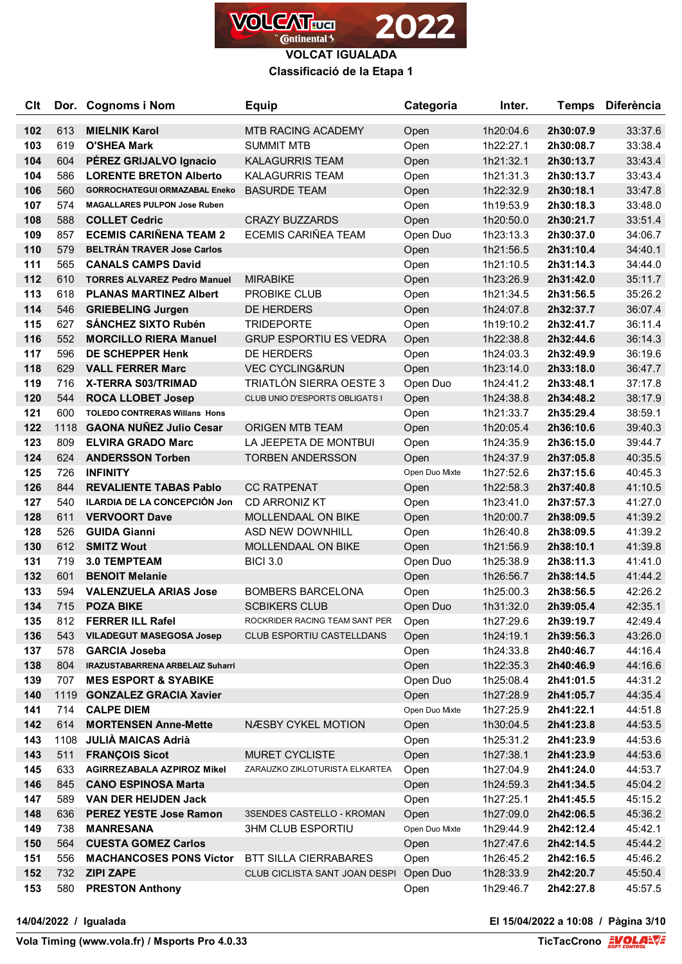

**Classificació de la Etapa 1**

| <b>C</b> It |      | Dor. Cognoms i Nom                      | <b>Equip</b>                   | Categoria      | Inter.    | <b>Temps</b> | <b>Diferència</b> |
|-------------|------|-----------------------------------------|--------------------------------|----------------|-----------|--------------|-------------------|
| 102         | 613  | <b>MIELNIK Karol</b>                    | <b>MTB RACING ACADEMY</b>      | Open           | 1h20:04.6 | 2h30:07.9    | 33:37.6           |
| 103         | 619  | <b>O'SHEA Mark</b>                      | <b>SUMMIT MTB</b>              | Open           | 1h22:27.1 | 2h30:08.7    | 33:38.4           |
| 104         | 604  | PÉREZ GRIJALVO Ignacio                  | <b>KALAGURRIS TEAM</b>         | Open           | 1h21:32.1 | 2h30:13.7    | 33:43.4           |
| 104         | 586  | <b>LORENTE BRETON Alberto</b>           | <b>KALAGURRIS TEAM</b>         | Open           | 1h21:31.3 | 2h30:13.7    | 33:43.4           |
| 106         | 560  | <b>GORROCHATEGUI ORMAZABAL Eneko</b>    | <b>BASURDE TEAM</b>            | Open           | 1h22:32.9 | 2h30:18.1    | 33:47.8           |
| 107         | 574  | <b>MAGALLARES PULPON Jose Ruben</b>     |                                | Open           | 1h19:53.9 | 2h30:18.3    | 33:48.0           |
| 108         | 588  | <b>COLLET Cedric</b>                    | <b>CRAZY BUZZARDS</b>          | Open           | 1h20:50.0 | 2h30:21.7    | 33:51.4           |
| 109         | 857  | <b>ECEMIS CARIÑENA TEAM 2</b>           | <b>ECEMIS CARIÑEA TEAM</b>     | Open Duo       | 1h23:13.3 | 2h30:37.0    | 34:06.7           |
| 110         | 579  | <b>BELTRÁN TRAVER Jose Carlos</b>       |                                | Open           | 1h21:56.5 | 2h31:10.4    | 34:40.1           |
| 111         | 565  | <b>CANALS CAMPS David</b>               |                                | Open           | 1h21:10.5 | 2h31:14.3    | 34:44.0           |
| 112         | 610  | <b>TORRES ALVAREZ Pedro Manuel</b>      | <b>MIRABIKE</b>                | Open           | 1h23:26.9 | 2h31:42.0    | 35:11.7           |
| 113         | 618  | <b>PLANAS MARTINEZ Albert</b>           | <b>PROBIKE CLUB</b>            | Open           | 1h21:34.5 | 2h31:56.5    | 35:26.2           |
| 114         | 546  | <b>GRIEBELING Jurgen</b>                | DE HERDERS                     | Open           | 1h24:07.8 | 2h32:37.7    | 36:07.4           |
| 115         | 627  | <b>SÁNCHEZ SIXTO Rubén</b>              | <b>TRIDEPORTE</b>              | Open           | 1h19:10.2 | 2h32:41.7    | 36:11.4           |
| 116         | 552  | <b>MORCILLO RIERA Manuel</b>            | <b>GRUP ESPORTIU ES VEDRA</b>  | Open           | 1h22:38.8 | 2h32:44.6    | 36:14.3           |
| 117         | 596  | <b>DE SCHEPPER Henk</b>                 | DE HERDERS                     | Open           | 1h24:03.3 | 2h32:49.9    | 36:19.6           |
| 118         | 629  | <b>VALL FERRER Marc</b>                 | <b>VEC CYCLING&amp;RUN</b>     | Open           | 1h23:14.0 | 2h33:18.0    | 36:47.7           |
| 119         | 716  | <b>X-TERRA S03/TRIMAD</b>               | <b>TRIATLÓN SIERRA OESTE 3</b> | Open Duo       | 1h24:41.2 | 2h33:48.1    | 37:17.8           |
| 120         | 544  | <b>ROCA LLOBET Josep</b>                | CLUB UNIO D'ESPORTS OBLIGATS I | Open           | 1h24:38.8 | 2h34:48.2    | 38:17.9           |
| 121         | 600  | <b>TOLEDO CONTRERAS Willans Hons</b>    |                                | Open           | 1h21:33.7 | 2h35:29.4    | 38:59.1           |
| 122         | 1118 | <b>GAONA NUÑEZ Julio Cesar</b>          | <b>ORIGEN MTB TEAM</b>         | Open           | 1h20:05.4 | 2h36:10.6    | 39:40.3           |
| 123         | 809  | <b>ELVIRA GRADO Marc</b>                | LA JEEPETA DE MONTBUI          | Open           | 1h24:35.9 | 2h36:15.0    | 39:44.7           |
| 124         | 624  | <b>ANDERSSON Torben</b>                 | <b>TORBEN ANDERSSON</b>        | Open           | 1h24:37.9 | 2h37:05.8    | 40:35.5           |
| 125         | 726  | <b>INFINITY</b>                         |                                | Open Duo Mixte | 1h27:52.6 | 2h37:15.6    | 40:45.3           |
| 126         | 844  | <b>REVALIENTE TABAS Pablo</b>           | <b>CC RATPENAT</b>             | Open           | 1h22:58.3 | 2h37:40.8    | 41:10.5           |
| 127         | 540  | <b>ILARDIA DE LA CONCEPCIÓN Jon</b>     | <b>CD ARRONIZ KT</b>           | Open           | 1h23:41.0 | 2h37:57.3    | 41:27.0           |
| 128         | 611  | <b>VERVOORT Dave</b>                    | <b>MOLLENDAAL ON BIKE</b>      | Open           | 1h20:00.7 | 2h38:09.5    | 41:39.2           |
| 128         | 526  | <b>GUIDA Gianni</b>                     | ASD NEW DOWNHILL               | Open           | 1h26:40.8 | 2h38:09.5    | 41:39.2           |
| 130         | 612  | <b>SMITZ Wout</b>                       | <b>MOLLENDAAL ON BIKE</b>      | Open           | 1h21:56.9 | 2h38:10.1    | 41:39.8           |
| 131         | 719  | <b>3.0 TEMPTEAM</b>                     | <b>BICI 3.0</b>                | Open Duo       | 1h25:38.9 | 2h38:11.3    | 41:41.0           |
| 132         | 601  | <b>BENOIT Melanie</b>                   |                                | Open           | 1h26:56.7 | 2h38:14.5    | 41:44.2           |
| 133         | 594  | <b>VALENZUELA ARIAS Jose</b>            | <b>BOMBERS BARCELONA</b>       | Open           | 1h25:00.3 | 2h38:56.5    | 42:26.2           |
| 134         | 715  | <b>POZA BIKE</b>                        | <b>SCBIKERS CLUB</b>           | Open Duo       | 1h31:32.0 | 2h39:05.4    | 42:35.1           |
| 135         | 812  | <b>FERRER ILL Rafel</b>                 | ROCKRIDER RACING TEAM SANT PER | Open           | 1h27:29.6 | 2h39:19.7    | 42:49.4           |
| 136         | 543  | <b>VILADEGUT MASEGOSA Josep</b>         | CLUB ESPORTIU CASTELLDANS      | Open           | 1h24:19.1 | 2h39:56.3    | 43:26.0           |
| 137         | 578  | <b>GARCIA Joseba</b>                    |                                | Open           | 1h24:33.8 | 2h40:46.7    | 44:16.4           |
| 138         | 804  | <b>IRAZUSTABARRENA ARBELAIZ Suharri</b> |                                | Open           | 1h22:35.3 | 2h40:46.9    | 44:16.6           |
| 139         | 707  | <b>MES ESPORT &amp; SYABIKE</b>         |                                | Open Duo       | 1h25:08.4 | 2h41:01.5    | 44:31.2           |
| 140         | 1119 | <b>GONZALEZ GRACIA Xavier</b>           |                                | Open           | 1h27:28.9 | 2h41:05.7    | 44:35.4           |
| 141         | 714  | <b>CALPE DIEM</b>                       |                                | Open Duo Mixte | 1h27:25.9 | 2h41:22.1    | 44:51.8           |
| 142         | 614  | <b>MORTENSEN Anne-Mette</b>             | NÆSBY CYKEL MOTION             | Open           | 1h30:04.5 | 2h41:23.8    | 44:53.5           |
| 143         | 1108 | <b>JULIA MAICAS Adrià</b>               |                                | Open           | 1h25:31.2 | 2h41:23.9    | 44:53.6           |
| 143         | 511  | <b>FRANÇOIS Sicot</b>                   | MURET CYCLISTE                 | Open           | 1h27:38.1 | 2h41:23.9    | 44:53.6           |
| 145         | 633  | <b>AGIRREZABALA AZPIROZ Mikel</b>       | ZARAUZKO ZIKLOTURISTA ELKARTEA | Open           | 1h27:04.9 | 2h41:24.0    | 44:53.7           |
| 146         | 845  | <b>CANO ESPINOSA Marta</b>              |                                | Open           | 1h24:59.3 | 2h41:34.5    | 45:04.2           |
| 147         | 589  | <b>VAN DER HEIJDEN Jack</b>             |                                | Open           | 1h27:25.1 | 2h41:45.5    | 45:15.2           |
| 148         | 636  | PEREZ YESTE Jose Ramon                  | 3SENDES CASTELLO - KROMAN      | Open           | 1h27:09.0 | 2h42:06.5    | 45:36.2           |
| 149         | 738  | <b>MANRESANA</b>                        | <b>3HM CLUB ESPORTIU</b>       | Open Duo Mixte | 1h29:44.9 | 2h42:12.4    | 45:42.1           |
| 150         | 564  | <b>CUESTA GOMEZ Carlos</b>              |                                | Open           | 1h27:47.6 | 2h42:14.5    | 45:44.2           |
| 151         | 556  | <b>MACHANCOSES PONS Víctor</b>          | <b>BTT SILLA CIERRABARES</b>   | Open           | 1h26:45.2 | 2h42:16.5    | 45:46.2           |
| 152         | 732  | <b>ZIPI ZAPE</b>                        | CLUB CICLISTA SANT JOAN DESPI  | Open Duo       | 1h28:33.9 | 2h42:20.7    | 45:50.4           |
| 153         | 580  | <b>PRESTON Anthony</b>                  |                                | Open           | 1h29:46.7 | 2h42:27.8    | 45:57.5           |

**14/04/2022 / Igualada El 15/04/2022 a 10:08 / Pàgina 3/10**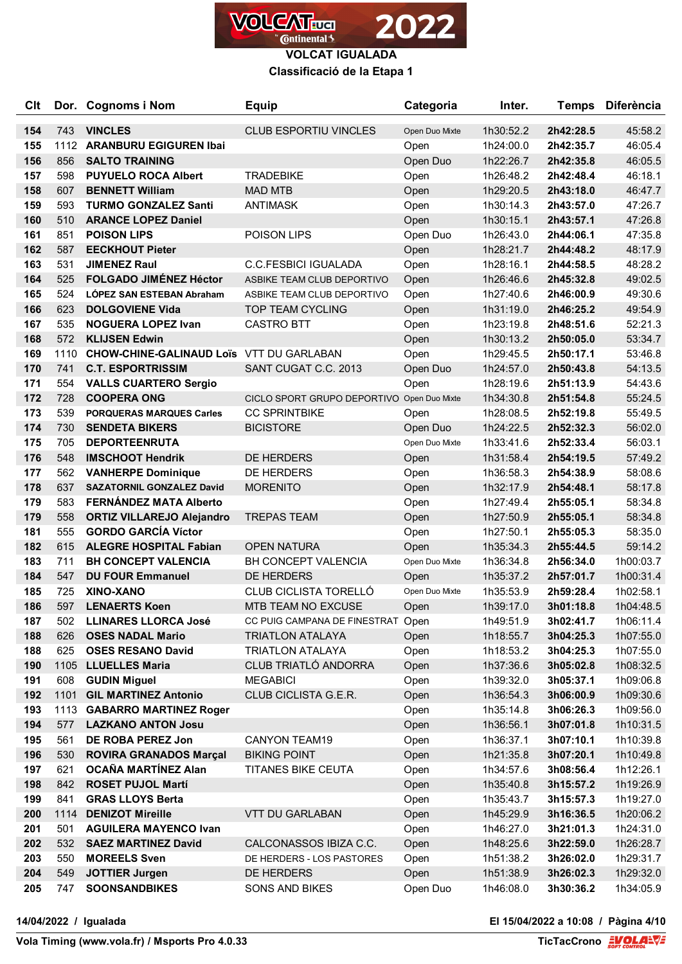

### **Classificació de la Etapa 1**

| <b>C</b> It |      | Dor. Cognoms i Nom                              | <b>Equip</b>                               | Categoria      | Inter.    | <b>Temps</b> | <b>Diferència</b> |
|-------------|------|-------------------------------------------------|--------------------------------------------|----------------|-----------|--------------|-------------------|
| 154         | 743  | <b>VINCLES</b>                                  | <b>CLUB ESPORTIU VINCLES</b>               | Open Duo Mixte | 1h30:52.2 | 2h42:28.5    | 45:58.2           |
| 155         |      | 1112 ARANBURU EGIGUREN Ibai                     |                                            | Open           | 1h24:00.0 | 2h42:35.7    | 46:05.4           |
| 156         | 856  | <b>SALTO TRAINING</b>                           |                                            | Open Duo       | 1h22:26.7 | 2h42:35.8    | 46:05.5           |
| 157         | 598  | <b>PUYUELO ROCA Albert</b>                      | <b>TRADEBIKE</b>                           | Open           | 1h26:48.2 | 2h42:48.4    | 46:18.1           |
| 158         | 607  | <b>BENNETT William</b>                          | <b>MAD MTB</b>                             | Open           | 1h29:20.5 | 2h43:18.0    | 46:47.7           |
| 159         | 593  | <b>TURMO GONZALEZ Santi</b>                     | <b>ANTIMASK</b>                            | Open           | 1h30:14.3 | 2h43:57.0    | 47:26.7           |
| 160         | 510  | <b>ARANCE LOPEZ Daniel</b>                      |                                            | Open           | 1h30:15.1 | 2h43:57.1    | 47:26.8           |
| 161         | 851  | <b>POISON LIPS</b>                              | POISON LIPS                                | Open Duo       | 1h26:43.0 | 2h44:06.1    | 47:35.8           |
| 162         | 587  | <b>EECKHOUT Pieter</b>                          |                                            | Open           | 1h28:21.7 | 2h44:48.2    | 48:17.9           |
| 163         | 531  | <b>JIMENEZ Raul</b>                             | <b>C.C.FESBICI IGUALADA</b>                | Open           | 1h28:16.1 | 2h44:58.5    | 48:28.2           |
| 164         | 525  | <b>FOLGADO JIMÉNEZ Héctor</b>                   | ASBIKE TEAM CLUB DEPORTIVO                 | Open           | 1h26:46.6 | 2h45:32.8    | 49:02.5           |
| 165         | 524  | LÓPEZ SAN ESTEBAN Abraham                       | ASBIKE TEAM CLUB DEPORTIVO                 | Open           | 1h27:40.6 | 2h46:00.9    | 49:30.6           |
| 166         | 623  | <b>DOLGOVIENE Vida</b>                          | <b>TOP TEAM CYCLING</b>                    | Open           | 1h31:19.0 | 2h46:25.2    | 49:54.9           |
| 167         | 535  | <b>NOGUERA LOPEZ Ivan</b>                       | <b>CASTRO BTT</b>                          | Open           | 1h23:19.8 | 2h48:51.6    | 52:21.3           |
| 168         | 572  | <b>KLIJSEN Edwin</b>                            |                                            | Open           | 1h30:13.2 | 2h50:05.0    | 53:34.7           |
| 169         | 1110 | <b>CHOW-CHINE-GALINAUD LOIS VTT DU GARLABAN</b> |                                            | Open           | 1h29:45.5 | 2h50:17.1    | 53:46.8           |
| 170         | 741  | <b>C.T. ESPORTRISSIM</b>                        | SANT CUGAT C.C. 2013                       | Open Duo       | 1h24:57.0 | 2h50:43.8    | 54:13.5           |
| 171         | 554  | <b>VALLS CUARTERO Sergio</b>                    |                                            | Open           | 1h28:19.6 | 2h51:13.9    | 54:43.6           |
| 172         | 728  | <b>COOPERA ONG</b>                              | CICLO SPORT GRUPO DEPORTIVO Open Duo Mixte |                | 1h34:30.8 | 2h51:54.8    | 55:24.5           |
| 173         | 539  | <b>PORQUERAS MARQUES Carles</b>                 | <b>CC SPRINTBIKE</b>                       | Open           | 1h28:08.5 | 2h52:19.8    | 55:49.5           |
| 174         | 730  | <b>SENDETA BIKERS</b>                           | <b>BICISTORE</b>                           | Open Duo       | 1h24:22.5 | 2h52:32.3    | 56:02.0           |
| 175         | 705  | <b>DEPORTEENRUTA</b>                            |                                            | Open Duo Mixte | 1h33:41.6 | 2h52:33.4    | 56:03.1           |
| 176         | 548  | <b>IMSCHOOT Hendrik</b>                         | DE HERDERS                                 | Open           | 1h31:58.4 | 2h54:19.5    | 57:49.2           |
| 177         | 562  | <b>VANHERPE Dominique</b>                       | DE HERDERS                                 | Open           | 1h36:58.3 | 2h54:38.9    | 58:08.6           |
| 178         | 637  | <b>SAZATORNIL GONZALEZ David</b>                | <b>MORENITO</b>                            | Open           | 1h32:17.9 | 2h54:48.1    | 58:17.8           |
| 179         | 583  | <b>FERNÁNDEZ MATA Alberto</b>                   |                                            | Open           | 1h27:49.4 | 2h55:05.1    | 58:34.8           |
| 179         | 558  | <b>ORTIZ VILLAREJO Alejandro</b>                | <b>TREPAS TEAM</b>                         | Open           | 1h27:50.9 | 2h55:05.1    | 58:34.8           |
| 181         | 555  | <b>GORDO GARCÍA Víctor</b>                      |                                            | Open           | 1h27:50.1 | 2h55:05.3    | 58:35.0           |
| 182         | 615  | <b>ALEGRE HOSPITAL Fabian</b>                   | <b>OPEN NATURA</b>                         | Open           | 1h35:34.3 | 2h55:44.5    | 59:14.2           |
| 183         | 711  | <b>BH CONCEPT VALENCIA</b>                      | BH CONCEPT VALENCIA                        | Open Duo Mixte | 1h36:34.8 | 2h56:34.0    | 1h00:03.7         |
| 184         | 547  | <b>DU FOUR Emmanuel</b>                         | DE HERDERS                                 | Open           | 1h35:37.2 | 2h57:01.7    | 1h00:31.4         |
| 185         | 725  | XINO-XANO                                       | CLUB CICLISTA TORELLÓ                      | Open Duo Mixte | 1h35:53.9 | 2h59:28.4    | 1h02:58.1         |
| 186         | 597  | <b>LENAERTS Koen</b>                            | MTB TEAM NO EXCUSE                         | Open           | 1h39:17.0 | 3h01:18.8    | 1h04:48.5         |
| 187         | 502  | <b>LLINARES LLORCA José</b>                     | CC PUIG CAMPANA DE FINESTRAT Open          |                | 1h49:51.9 | 3h02:41.7    | 1h06:11.4         |
| 188         | 626  | <b>OSES NADAL Mario</b>                         | <b>TRIATLON ATALAYA</b>                    | Open           | 1h18:55.7 | 3h04:25.3    | 1h07:55.0         |
| 188         | 625  | <b>OSES RESANO David</b>                        | <b>TRIATLON ATALAYA</b>                    | Open           | 1h18:53.2 | 3h04:25.3    | 1h07:55.0         |
| 190         |      | 1105 LLUELLES Maria                             | CLUB TRIATLÓ ANDORRA                       | Open           | 1h37:36.6 | 3h05:02.8    | 1h08:32.5         |
| 191         | 608  | <b>GUDIN Miguel</b>                             | <b>MEGABICI</b>                            | Open           | 1h39:32.0 | 3h05:37.1    | 1h09:06.8         |
| 192         |      | 1101 GIL MARTINEZ Antonio                       | CLUB CICLISTA G.E.R.                       | Open           | 1h36:54.3 | 3h06:00.9    | 1h09:30.6         |
| 193         |      | 1113 GABARRO MARTINEZ Roger                     |                                            | Open           | 1h35:14.8 | 3h06:26.3    | 1h09:56.0         |
| 194         | 577  | <b>LAZKANO ANTON Josu</b>                       |                                            | Open           | 1h36:56.1 | 3h07:01.8    | 1h10:31.5         |
| 195         | 561  | DE ROBA PEREZ Jon                               | <b>CANYON TEAM19</b>                       | Open           | 1h36:37.1 | 3h07:10.1    | 1h10:39.8         |
| 196         | 530  | <b>ROVIRA GRANADOS Marçal</b>                   | <b>BIKING POINT</b>                        | Open           | 1h21:35.8 | 3h07:20.1    | 1h10:49.8         |
| 197         | 621  | OCAÑA MARTÍNEZ Alan                             | <b>TITANES BIKE CEUTA</b>                  | Open           | 1h34:57.6 | 3h08:56.4    | 1h12:26.1         |
| 198         | 842  | <b>ROSET PUJOL Martí</b>                        |                                            | Open           | 1h35:40.8 | 3h15:57.2    | 1h19:26.9         |
| 199         | 841  | <b>GRAS LLOYS Berta</b>                         |                                            | Open           | 1h35:43.7 | 3h15:57.3    | 1h19:27.0         |
| 200         | 1114 | <b>DENIZOT Mireille</b>                         | VTT DU GARLABAN                            | Open           | 1h45:29.9 | 3h16:36.5    | 1h20:06.2         |
| 201         | 501  | <b>AGUILERA MAYENCO Ivan</b>                    |                                            | Open           | 1h46:27.0 | 3h21:01.3    | 1h24:31.0         |
| 202         | 532  | <b>SAEZ MARTINEZ David</b>                      | CALCONASSOS IBIZA C.C.                     | Open           | 1h48:25.6 | 3h22:59.0    | 1h26:28.7         |
| 203         | 550  | <b>MOREELS Sven</b>                             | DE HERDERS - LOS PASTORES                  | Open           | 1h51:38.2 | 3h26:02.0    | 1h29:31.7         |
| 204         | 549  | <b>JOTTIER Jurgen</b>                           | DE HERDERS                                 | Open           | 1h51:38.9 | 3h26:02.3    | 1h29:32.0         |
| 205         | 747  | <b>SOONSANDBIKES</b>                            | SONS AND BIKES                             | Open Duo       | 1h46:08.0 | 3h30:36.2    | 1h34:05.9         |

**14/04/2022 / Igualada El 15/04/2022 a 10:08 / Pàgina 4/10**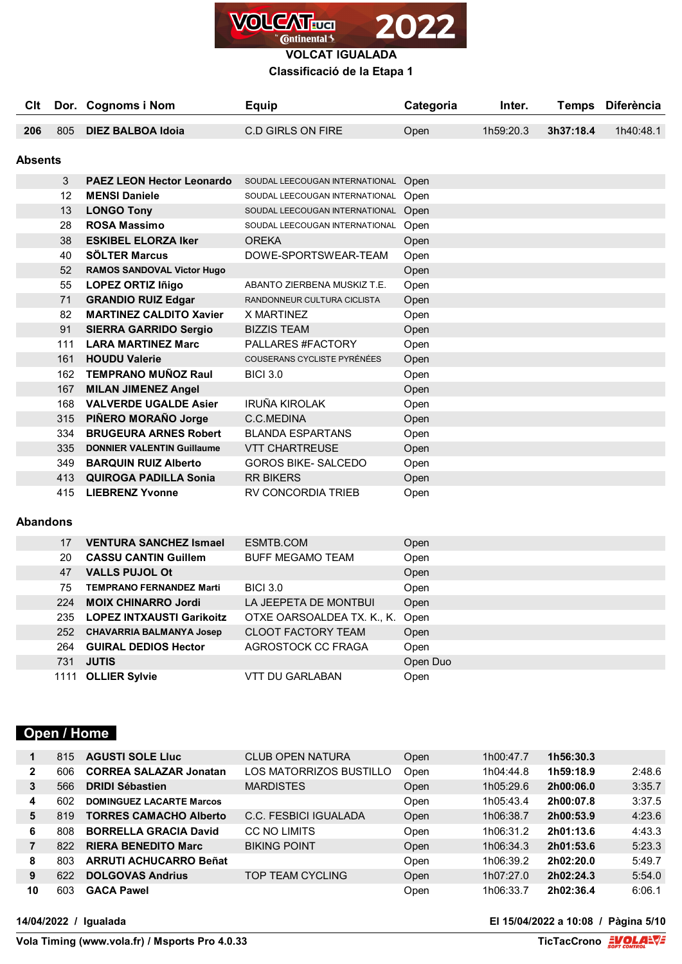

## **Classificació de la Etapa 1**

| Clt     |     | Dor. Cognoms i Nom                | Equip                               | Categoria | Inter.    | <b>Temps</b> | <b>Diferència</b> |
|---------|-----|-----------------------------------|-------------------------------------|-----------|-----------|--------------|-------------------|
| 206     | 805 | <b>DIEZ BALBOA Idoia</b>          | <b>C.D GIRLS ON FIRE</b>            | Open      | 1h59:20.3 | 3h37:18.4    | 1h40:48.1         |
|         |     |                                   |                                     |           |           |              |                   |
| Absents |     |                                   |                                     |           |           |              |                   |
|         | 3   | <b>PAEZ LEON Hector Leonardo</b>  | SOUDAL LEECOUGAN INTERNATIONAL      | Open      |           |              |                   |
|         | 12  | <b>MENSI Daniele</b>              | SOUDAL LEECOUGAN INTERNATIONAL      | Open      |           |              |                   |
|         | 13  | <b>LONGO Tony</b>                 | SOUDAL LEECOUGAN INTERNATIONAL Open |           |           |              |                   |
|         | 28  | <b>ROSA Massimo</b>               | SOUDAL LEECOUGAN INTERNATIONAL      | Open      |           |              |                   |
|         | 38  | <b>ESKIBEL ELORZA Iker</b>        | <b>OREKA</b>                        | Open      |           |              |                   |
|         | 40  | <b>SÖLTER Marcus</b>              | DOWE-SPORTSWEAR-TEAM                | Open      |           |              |                   |
|         | 52  | <b>RAMOS SANDOVAL Victor Hugo</b> |                                     | Open      |           |              |                   |
|         | 55  | <b>LOPEZ ORTIZ Iñigo</b>          | ABANTO ZIERBENA MUSKIZ T.E.         | Open      |           |              |                   |
|         | 71  | <b>GRANDIO RUIZ Edgar</b>         | RANDONNEUR CULTURA CICLISTA         | Open      |           |              |                   |
|         | 82  | <b>MARTINEZ CALDITO Xavier</b>    | X MARTINEZ                          | Open      |           |              |                   |
|         | 91  | <b>SIERRA GARRIDO Sergio</b>      | <b>BIZZIS TEAM</b>                  | Open      |           |              |                   |
|         | 111 | <b>LARA MARTINEZ Marc</b>         | PALLARES #FACTORY                   | Open      |           |              |                   |
|         | 161 | <b>HOUDU Valerie</b>              | COUSERANS CYCLISTE PYRÉNÉES         | Open      |           |              |                   |
|         | 162 | <b>TEMPRANO MUÑOZ Raul</b>        | <b>BICI 3.0</b>                     | Open      |           |              |                   |
|         | 167 | <b>MILAN JIMENEZ Angel</b>        |                                     | Open      |           |              |                   |
|         | 168 | <b>VALVERDE UGALDE Asier</b>      | IRUÑA KIROLAK                       | Open      |           |              |                   |
|         | 315 | PIÑERO MORAÑO Jorge               | C.C.MEDINA                          | Open      |           |              |                   |
|         | 334 | <b>BRUGEURA ARNES Robert</b>      | <b>BLANDA ESPARTANS</b>             | Open      |           |              |                   |
|         | 335 | <b>DONNIER VALENTIN Guillaume</b> | <b>VTT CHARTREUSE</b>               | Open      |           |              |                   |
|         | 349 | <b>BARQUIN RUIZ Alberto</b>       | <b>GOROS BIKE- SALCEDO</b>          | Open      |           |              |                   |
|         | 413 | <b>QUIROGA PADILLA Sonia</b>      | <b>RR BIKERS</b>                    | Open      |           |              |                   |
|         | 415 | <b>LIEBRENZ Yvonne</b>            | <b>RV CONCORDIA TRIEB</b>           | Open      |           |              |                   |

## **Abandons**

| <b>VENTURA SANCHEZ Ismael</b><br>ESMTB.COM<br>17<br>Open<br><b>CASSU CANTIN Guillem</b><br><b>BUFF MEGAMO TEAM</b><br>20<br>Open<br><b>VALLS PUJOL Ot</b><br>47<br>Open<br><b>BICI 3.0</b><br>75<br><b>TEMPRANO FERNANDEZ Marti</b><br>Open<br><b>MOIX CHINARRO Jordi</b><br>LA JEEPETA DE MONTBUI<br>Open<br>224<br>OTXE OARSOALDEA TX. K., K.<br><b>LOPEZ INTXAUSTI Garikoitz</b><br>Open<br>235<br><b>CLOOT FACTORY TEAM</b><br>252<br><b>CHAVARRIA BALMANYA Josep</b><br>Open<br><b>GUIRAL DEDIOS Hector</b><br>AGROSTOCK CC FRAGA<br>264<br>Open<br><b>JUTIS</b><br>Open Duo<br>731<br><b>OLLIER Sylvie</b><br>VTT DU GARLABAN<br>Open<br>1111 |  |  |  |
|-----------------------------------------------------------------------------------------------------------------------------------------------------------------------------------------------------------------------------------------------------------------------------------------------------------------------------------------------------------------------------------------------------------------------------------------------------------------------------------------------------------------------------------------------------------------------------------------------------------------------------------------------------|--|--|--|
|                                                                                                                                                                                                                                                                                                                                                                                                                                                                                                                                                                                                                                                     |  |  |  |
|                                                                                                                                                                                                                                                                                                                                                                                                                                                                                                                                                                                                                                                     |  |  |  |
|                                                                                                                                                                                                                                                                                                                                                                                                                                                                                                                                                                                                                                                     |  |  |  |
|                                                                                                                                                                                                                                                                                                                                                                                                                                                                                                                                                                                                                                                     |  |  |  |
|                                                                                                                                                                                                                                                                                                                                                                                                                                                                                                                                                                                                                                                     |  |  |  |
|                                                                                                                                                                                                                                                                                                                                                                                                                                                                                                                                                                                                                                                     |  |  |  |
|                                                                                                                                                                                                                                                                                                                                                                                                                                                                                                                                                                                                                                                     |  |  |  |
|                                                                                                                                                                                                                                                                                                                                                                                                                                                                                                                                                                                                                                                     |  |  |  |
|                                                                                                                                                                                                                                                                                                                                                                                                                                                                                                                                                                                                                                                     |  |  |  |
|                                                                                                                                                                                                                                                                                                                                                                                                                                                                                                                                                                                                                                                     |  |  |  |

# **Open / Home**

| 1              | 815 | <b>AGUSTI SOLE LIUC</b>         | <b>CLUB OPEN NATURA</b> | Open | 1h00:47.7 | 1h56:30.3 |        |
|----------------|-----|---------------------------------|-------------------------|------|-----------|-----------|--------|
| $\mathbf{2}$   | 606 | <b>CORREA SALAZAR Jonatan</b>   | LOS MATORRIZOS BUSTILLO | Open | 1h04:44.8 | 1h59:18.9 | 2:48.6 |
| 3              | 566 | <b>DRIDI Sébastien</b>          | <b>MARDISTES</b>        | Open | 1h05:29.6 | 2h00:06.0 | 3:35.7 |
| 4              | 602 | <b>DOMINGUEZ LACARTE Marcos</b> |                         | Open | 1h05:43.4 | 2h00:07.8 | 3:37.5 |
| 5              | 819 | <b>TORRES CAMACHO Alberto</b>   | C.C. FESBICI IGUALADA   | Open | 1h06:38.7 | 2h00:53.9 | 4:23.6 |
| 6              | 808 | <b>BORRELLA GRACIA David</b>    | CC NO LIMITS            | Open | 1h06:31.2 | 2h01:13.6 | 4:43.3 |
| $\overline{7}$ | 822 | <b>RIERA BENEDITO Marc</b>      | <b>BIKING POINT</b>     | Open | 1h06:34.3 | 2h01:53.6 | 5:23.3 |
| 8              | 803 | <b>ARRUTI ACHUCARRO Beñat</b>   |                         | Open | 1h06:39.2 | 2h02:20.0 | 5:49.7 |
| 9              | 622 | <b>DOLGOVAS Andrius</b>         | TOP TEAM CYCLING        | Open | 1h07:27.0 | 2h02:24.3 | 5:54.0 |
| 10             | 603 | <b>GACA Pawel</b>               |                         | Open | 1h06:33.7 | 2h02:36.4 | 6:06.1 |

**14/04/2022 / Igualada El 15/04/2022 a 10:08 / Pàgina 5/10**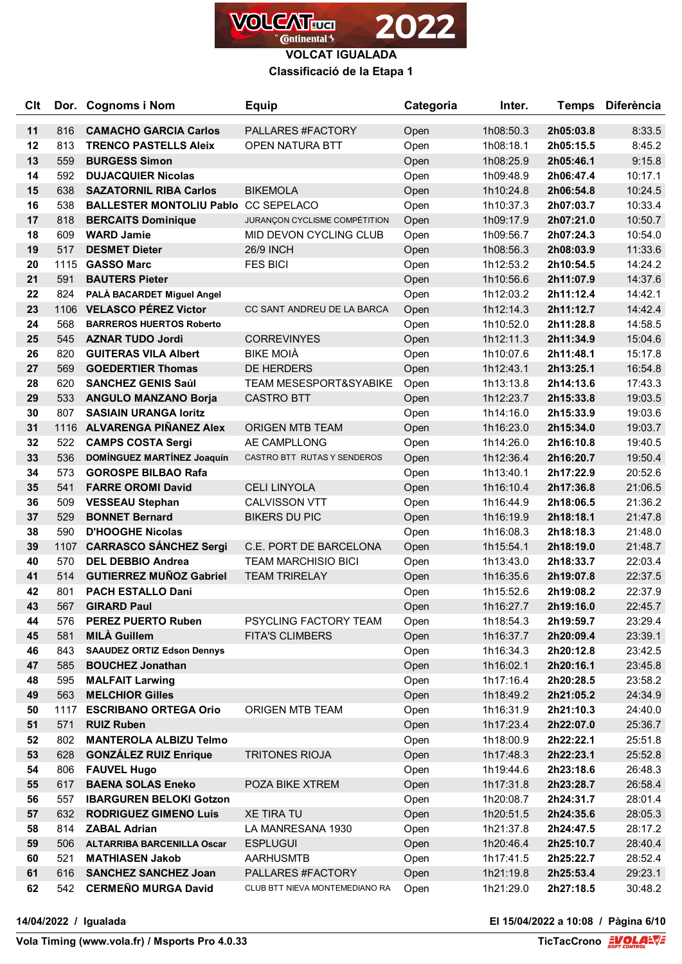

### **Classificació de la Etapa 1**

| <b>Clt</b> |      | Dor. Cognoms i Nom                | <b>Equip</b>                      | Categoria | Inter.    | <b>Temps</b> | <b>Diferència</b> |
|------------|------|-----------------------------------|-----------------------------------|-----------|-----------|--------------|-------------------|
| 11         | 816  | <b>CAMACHO GARCIA Carlos</b>      | PALLARES #FACTORY                 | Open      | 1h08:50.3 | 2h05:03.8    | 8:33.5            |
| 12         | 813  | <b>TRENCO PASTELLS Aleix</b>      | <b>OPEN NATURA BTT</b>            | Open      | 1h08:18.1 | 2h05:15.5    | 8:45.2            |
| 13         | 559  | <b>BURGESS Simon</b>              |                                   | Open      | 1h08:25.9 | 2h05:46.1    | 9:15.8            |
| 14         | 592  | <b>DUJACQUIER Nicolas</b>         |                                   | Open      | 1h09:48.9 | 2h06:47.4    | 10:17.1           |
| 15         | 638  | <b>SAZATORNIL RIBA Carlos</b>     | <b>BIKEMOLA</b>                   | Open      | 1h10:24.8 | 2h06:54.8    | 10:24.5           |
| 16         | 538  | <b>BALLESTER MONTOLIU Pablo</b>   | <b>CC SEPELACO</b>                | Open      | 1h10:37.3 | 2h07:03.7    | 10:33.4           |
| 17         | 818  | <b>BERCAITS Dominique</b>         | JURANÇON CYCLISME COMPÉTITION     | Open      | 1h09:17.9 | 2h07:21.0    | 10:50.7           |
| 18         | 609  | <b>WARD Jamie</b>                 | MID DEVON CYCLING CLUB            | Open      | 1h09:56.7 | 2h07:24.3    | 10:54.0           |
| 19         | 517  | <b>DESMET Dieter</b>              | <b>26/9 INCH</b>                  | Open      | 1h08:56.3 | 2h08:03.9    | 11:33.6           |
| 20         | 1115 | <b>GASSO Marc</b>                 | <b>FES BICI</b>                   | Open      | 1h12:53.2 | 2h10:54.5    | 14:24.2           |
| 21         | 591  | <b>BAUTERS Pieter</b>             |                                   | Open      | 1h10:56.6 | 2h11:07.9    | 14:37.6           |
| 22         | 824  | PALÀ BACARDET Miguel Angel        |                                   | Open      | 1h12:03.2 | 2h11:12.4    | 14:42.1           |
| 23         | 1106 | <b>VELASCO PÉREZ Victor</b>       | CC SANT ANDREU DE LA BARCA        | Open      | 1h12:14.3 | 2h11:12.7    | 14:42.4           |
| 24         | 568  | <b>BARREROS HUERTOS Roberto</b>   |                                   | Open      | 1h10:52.0 | 2h11:28.8    | 14:58.5           |
| 25         | 545  | <b>AZNAR TUDO Jordi</b>           | <b>CORREVINYES</b>                | Open      | 1h12:11.3 | 2h11:34.9    | 15:04.6           |
| 26         | 820  | <b>GUITERAS VILA Albert</b>       | <b>BIKE MOIÀ</b>                  | Open      | 1h10:07.6 | 2h11:48.1    | 15:17.8           |
| 27         | 569  | <b>GOEDERTIER Thomas</b>          | DE HERDERS                        | Open      | 1h12:43.1 | 2h13:25.1    | 16:54.8           |
| 28         | 620  | <b>SANCHEZ GENIS Saúl</b>         | <b>TEAM MESESPORT&amp;SYABIKE</b> | Open      | 1h13:13.8 | 2h14:13.6    | 17:43.3           |
| 29         | 533  | <b>ANGULO MANZANO Borja</b>       | <b>CASTRO BTT</b>                 | Open      | 1h12:23.7 | 2h15:33.8    | 19:03.5           |
| 30         | 807  | <b>SASIAIN URANGA loritz</b>      |                                   | Open      | 1h14:16.0 | 2h15:33.9    | 19:03.6           |
| 31         | 1116 | ALVARENGA PIÑANEZ Alex            | <b>ORIGEN MTB TEAM</b>            | Open      | 1h16:23.0 | 2h15:34.0    | 19:03.7           |
| 32         | 522  | <b>CAMPS COSTA Sergi</b>          | AE CAMPLLONG                      | Open      | 1h14:26.0 | 2h16:10.8    | 19:40.5           |
| 33         | 536  | DOMÍNGUEZ MARTÍNEZ Joaquín        | CASTRO BTT RUTAS Y SENDEROS       | Open      | 1h12:36.4 | 2h16:20.7    | 19:50.4           |
| 34         | 573  | <b>GOROSPE BILBAO Rafa</b>        |                                   | Open      | 1h13:40.1 | 2h17:22.9    | 20:52.6           |
| 35         | 541  | <b>FARRE OROMI David</b>          | <b>CELI LINYOLA</b>               | Open      | 1h16:10.4 | 2h17:36.8    | 21:06.5           |
| 36         | 509  | <b>VESSEAU Stephan</b>            | <b>CALVISSON VTT</b>              | Open      | 1h16:44.9 | 2h18:06.5    | 21:36.2           |
| 37         | 529  | <b>BONNET Bernard</b>             | <b>BIKERS DU PIC</b>              | Open      | 1h16:19.9 | 2h18:18.1    | 21:47.8           |
| 38         | 590  | <b>D'HOOGHE Nicolas</b>           |                                   | Open      | 1h16:08.3 | 2h18:18.3    | 21:48.0           |
| 39         | 1107 | <b>CARRASCO SÁNCHEZ Sergi</b>     | C.E. PORT DE BARCELONA            | Open      | 1h15:54.1 | 2h18:19.0    | 21:48.7           |
| 40         | 570  | <b>DEL DEBBIO Andrea</b>          | <b>TEAM MARCHISIO BICI</b>        | Open      | 1h13:43.0 | 2h18:33.7    | 22:03.4           |
| 41         | 514  | <b>GUTIERREZ MUÑOZ Gabriel</b>    | <b>TEAM TRIRELAY</b>              | Open      | 1h16:35.6 | 2h19:07.8    | 22:37.5           |
| 42         | 801  | <b>PACH ESTALLO Dani</b>          |                                   | Open      | 1h15:52.6 | 2h19:08.2    | 22:37.9           |
| 43         | 567  | <b>GIRARD Paul</b>                |                                   | Open      | 1h16:27.7 | 2h19:16.0    | 22:45.7           |
| 44         | 576  | <b>PEREZ PUERTO Ruben</b>         | PSYCLING FACTORY TEAM             | Open      | 1h18:54.3 | 2h19:59.7    | 23:29.4           |
| 45         | 581  | <b>MILÀ Guillem</b>               | <b>FITA'S CLIMBERS</b>            | Open      | 1h16:37.7 | 2h20:09.4    | 23:39.1           |
| 46         | 843  | <b>SAAUDEZ ORTIZ Edson Dennys</b> |                                   | Open      | 1h16:34.3 | 2h20:12.8    | 23:42.5           |
| 47         | 585  | <b>BOUCHEZ Jonathan</b>           |                                   | Open      | 1h16:02.1 | 2h20:16.1    | 23:45.8           |
| 48         | 595  | <b>MALFAIT Larwing</b>            |                                   | Open      | 1h17:16.4 | 2h20:28.5    | 23:58.2           |
| 49         | 563  | <b>MELCHIOR Gilles</b>            |                                   | Open      | 1h18:49.2 | 2h21:05.2    | 24:34.9           |
| 50         | 1117 | <b>ESCRIBANO ORTEGA Orio</b>      | ORIGEN MTB TEAM                   | Open      | 1h16:31.9 | 2h21:10.3    | 24:40.0           |
| 51         | 571  | <b>RUIZ Ruben</b>                 |                                   | Open      | 1h17:23.4 | 2h22:07.0    | 25:36.7           |
| 52         | 802  | <b>MANTEROLA ALBIZU Telmo</b>     |                                   | Open      | 1h18:00.9 | 2h22:22.1    | 25:51.8           |
| 53         | 628  | <b>GONZÁLEZ RUIZ Enrique</b>      | <b>TRITONES RIOJA</b>             | Open      | 1h17:48.3 | 2h22:23.1    | 25:52.8           |
| 54         | 806  | <b>FAUVEL Hugo</b>                |                                   | Open      | 1h19:44.6 | 2h23:18.6    | 26:48.3           |
| 55         | 617  | <b>BAENA SOLAS Eneko</b>          | POZA BIKE XTREM                   | Open      | 1h17:31.8 | 2h23:28.7    | 26:58.4           |
| 56         | 557  | <b>IBARGUREN BELOKI Gotzon</b>    |                                   | Open      | 1h20:08.7 | 2h24:31.7    | 28:01.4           |
| 57         | 632  | <b>RODRIGUEZ GIMENO Luis</b>      | <b>XE TIRA TU</b>                 | Open      | 1h20:51.5 | 2h24:35.6    | 28:05.3           |
| 58         | 814  | <b>ZABAL Adrian</b>               | LA MANRESANA 1930                 | Open      | 1h21:37.8 | 2h24:47.5    | 28:17.2           |
| 59         | 506  | <b>ALTARRIBA BARCENILLA Oscar</b> | <b>ESPLUGUI</b>                   | Open      | 1h20:46.4 | 2h25:10.7    | 28:40.4           |
| 60         | 521  | <b>MATHIASEN Jakob</b>            | <b>AARHUSMTB</b>                  | Open      | 1h17:41.5 | 2h25:22.7    | 28:52.4           |
| 61         | 616  | <b>SANCHEZ SANCHEZ Joan</b>       | PALLARES #FACTORY                 | Open      | 1h21:19.8 | 2h25:53.4    | 29:23.1           |
| 62         |      | 542 CERMEÑO MURGA David           | CLUB BTT NIEVA MONTEMEDIANO RA    | Open      | 1h21:29.0 | 2h27:18.5    | 30:48.2           |

**14/04/2022 / Igualada El 15/04/2022 a 10:08 / Pàgina 6/10**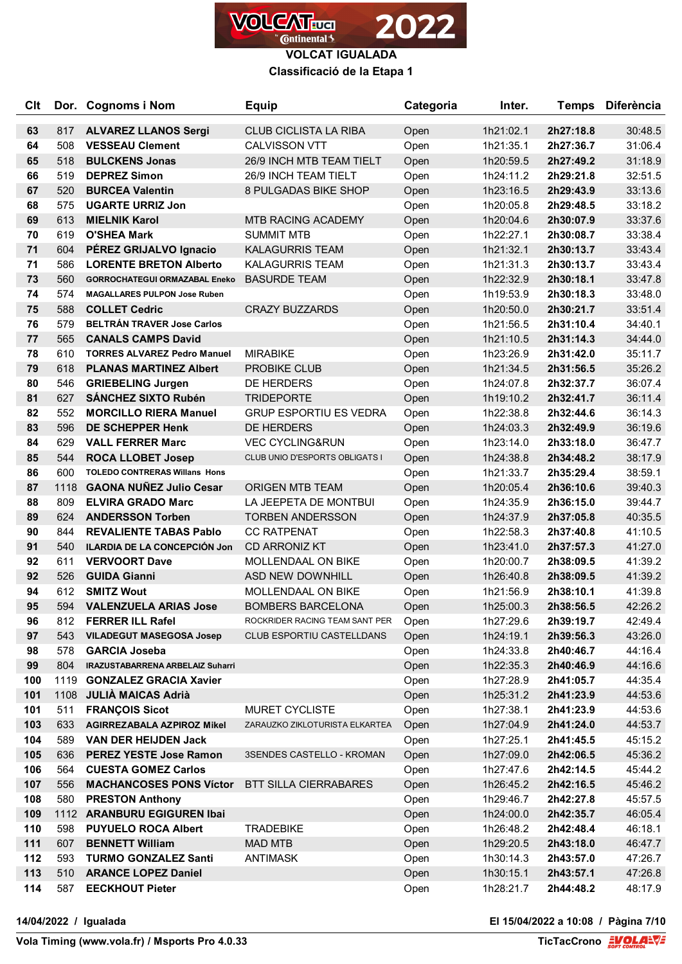

### **Classificació de la Etapa 1**

| <b>Clt</b> |            | Dor. Cognoms i Nom                                          | <b>Equip</b>                                  | Categoria    | Inter.                 | <b>Temps</b>           | <b>Diferència</b>  |
|------------|------------|-------------------------------------------------------------|-----------------------------------------------|--------------|------------------------|------------------------|--------------------|
| 63         | 817        | <b>ALVAREZ LLANOS Sergi</b>                                 | <b>CLUB CICLISTA LA RIBA</b>                  | Open         | 1h21:02.1              | 2h27:18.8              | 30:48.5            |
| 64         | 508        | <b>VESSEAU Clement</b>                                      | <b>CALVISSON VTT</b>                          | Open         | 1h21:35.1              | 2h27:36.7              | 31:06.4            |
| 65         | 518        | <b>BULCKENS Jonas</b>                                       | 26/9 INCH MTB TEAM TIELT                      | Open         | 1h20:59.5              | 2h27:49.2              | 31:18.9            |
| 66         | 519        | <b>DEPREZ Simon</b>                                         | 26/9 INCH TEAM TIELT                          | Open         | 1h24:11.2              | 2h29:21.8              | 32:51.5            |
| 67         | 520        | <b>BURCEA Valentin</b>                                      | 8 PULGADAS BIKE SHOP                          | Open         | 1h23:16.5              | 2h29:43.9              | 33:13.6            |
| 68         | 575        | <b>UGARTE URRIZ Jon</b>                                     |                                               | Open         | 1h20:05.8              | 2h29:48.5              | 33:18.2            |
| 69         | 613        | <b>MIELNIK Karol</b>                                        | <b>MTB RACING ACADEMY</b>                     | Open         | 1h20:04.6              | 2h30:07.9              | 33:37.6            |
| 70         | 619        | <b>O'SHEA Mark</b>                                          | <b>SUMMIT MTB</b>                             | Open         | 1h22:27.1              | 2h30:08.7              | 33:38.4            |
| 71         | 604        | PÉREZ GRIJALVO Ignacio                                      | <b>KALAGURRIS TEAM</b>                        | Open         | 1h21:32.1              | 2h30:13.7              | 33:43.4            |
| 71         | 586        | <b>LORENTE BRETON Alberto</b>                               | <b>KALAGURRIS TEAM</b>                        | Open         | 1h21:31.3              | 2h30:13.7              | 33:43.4            |
| 73         | 560        | <b>GORROCHATEGUI ORMAZABAL Eneko</b>                        | <b>BASURDE TEAM</b>                           | Open         | 1h22:32.9              | 2h30:18.1              | 33:47.8            |
| 74         | 574        | <b>MAGALLARES PULPON Jose Ruben</b>                         |                                               | Open         | 1h19:53.9              | 2h30:18.3              | 33:48.0            |
| 75         | 588        | <b>COLLET Cedric</b>                                        | <b>CRAZY BUZZARDS</b>                         | Open         | 1h20:50.0              | 2h30:21.7              | 33:51.4            |
| 76         | 579        | <b>BELTRÁN TRAVER Jose Carlos</b>                           |                                               | Open         | 1h21:56.5              | 2h31:10.4              | 34:40.1            |
| 77         | 565        | <b>CANALS CAMPS David</b>                                   |                                               | Open         | 1h21:10.5              | 2h31:14.3              | 34:44.0            |
| 78         | 610        | <b>TORRES ALVAREZ Pedro Manuel</b>                          | <b>MIRABIKE</b>                               | Open         | 1h23:26.9              | 2h31:42.0              | 35:11.7            |
| 79         | 618        | <b>PLANAS MARTINEZ Albert</b>                               | <b>PROBIKE CLUB</b>                           | Open         | 1h21:34.5              | 2h31:56.5              | 35:26.2            |
| 80         | 546        | <b>GRIEBELING Jurgen</b>                                    | <b>DE HERDERS</b>                             | Open         | 1h24:07.8              | 2h32:37.7              | 36:07.4            |
| 81         | 627        | <b>SÁNCHEZ SIXTO Rubén</b>                                  | <b>TRIDEPORTE</b>                             | Open         | 1h19:10.2              | 2h32:41.7              | 36:11.4            |
| 82         | 552        | <b>MORCILLO RIERA Manuel</b>                                | <b>GRUP ESPORTIU ES VEDRA</b>                 | Open         | 1h22:38.8              | 2h32:44.6              | 36:14.3            |
| 83         | 596        | <b>DE SCHEPPER Henk</b>                                     | DE HERDERS                                    | Open         | 1h24:03.3              | 2h32:49.9              | 36:19.6            |
| 84         | 629        | <b>VALL FERRER Marc</b>                                     | <b>VEC CYCLING&amp;RUN</b>                    | Open         | 1h23:14.0              | 2h33:18.0              | 36:47.7            |
| 85         | 544        | <b>ROCA LLOBET Josep</b>                                    | CLUB UNIO D'ESPORTS OBLIGATS I                | Open         | 1h24:38.8              | 2h34:48.2              | 38:17.9            |
| 86         | 600        | <b>TOLEDO CONTRERAS Willans Hons</b>                        |                                               | Open         | 1h21:33.7              | 2h35:29.4              | 38:59.1            |
| 87         | 1118       | <b>GAONA NUÑEZ Julio Cesar</b>                              | <b>ORIGEN MTB TEAM</b>                        | Open         | 1h20:05.4              | 2h36:10.6              | 39:40.3            |
| 88         | 809        | <b>ELVIRA GRADO Marc</b>                                    | LA JEEPETA DE MONTBUI                         | Open         | 1h24:35.9              | 2h36:15.0              | 39:44.7            |
| 89         | 624        | <b>ANDERSSON Torben</b>                                     | <b>TORBEN ANDERSSON</b>                       | Open         | 1h24:37.9              | 2h37:05.8              | 40:35.5            |
| 90         | 844        | <b>REVALIENTE TABAS Pablo</b>                               | <b>CC RATPENAT</b>                            | Open         | 1h22:58.3              | 2h37:40.8              | 41:10.5            |
| 91<br>92   | 540<br>611 | <b>ILARDIA DE LA CONCEPCIÓN Jon</b><br><b>VERVOORT Dave</b> | <b>CD ARRONIZ KT</b>                          | Open         | 1h23:41.0              | 2h37:57.3              | 41:27.0            |
| 92         | 526        | <b>GUIDA Gianni</b>                                         | MOLLENDAAL ON BIKE<br><b>ASD NEW DOWNHILL</b> | Open         | 1h20:00.7<br>1h26:40.8 | 2h38:09.5<br>2h38:09.5 | 41:39.2<br>41:39.2 |
| 94         | 612        | <b>SMITZ Wout</b>                                           | MOLLENDAAL ON BIKE                            | Open         | 1h21:56.9              | 2h38:10.1              | 41:39.8            |
| 95         | 594        | <b>VALENZUELA ARIAS Jose</b>                                | <b>BOMBERS BARCELONA</b>                      | Open<br>Open | 1h25:00.3              | 2h38:56.5              | 42:26.2            |
| 96         | 812        | <b>FERRER ILL Rafel</b>                                     | ROCKRIDER RACING TEAM SANT PER                | Open         | 1h27:29.6              | 2h39:19.7              | 42:49.4            |
| 97         | 543        | <b>VILADEGUT MASEGOSA Josep</b>                             | CLUB ESPORTIU CASTELLDANS                     | Open         | 1h24:19.1              | 2h39:56.3              | 43:26.0            |
| 98         | 578        | <b>GARCIA Joseba</b>                                        |                                               | Open         | 1h24:33.8              | 2h40:46.7              | 44:16.4            |
| 99         | 804        | <b>IRAZUSTABARRENA ARBELAIZ Suharri</b>                     |                                               | Open         | 1h22:35.3              | 2h40:46.9              | 44:16.6            |
| 100        |            | 1119 GONZALEZ GRACIA Xavier                                 |                                               | Open         | 1h27:28.9              | 2h41:05.7              | 44:35.4            |
| 101        |            | 1108 JULIA MAICAS Adrià                                     |                                               | Open         | 1h25:31.2              | 2h41:23.9              | 44:53.6            |
| 101        | 511        | <b>FRANÇOIS Sicot</b>                                       | MURET CYCLISTE                                | Open         | 1h27:38.1              | 2h41:23.9              | 44:53.6            |
| 103        | 633        | <b>AGIRREZABALA AZPIROZ Mikel</b>                           | ZARAUZKO ZIKLOTURISTA ELKARTEA                | Open         | 1h27:04.9              | 2h41:24.0              | 44:53.7            |
| 104        | 589        | <b>VAN DER HEIJDEN Jack</b>                                 |                                               | Open         | 1h27:25.1              | 2h41:45.5              | 45:15.2            |
| 105        | 636        | <b>PEREZ YESTE Jose Ramon</b>                               | 3SENDES CASTELLO - KROMAN                     | Open         | 1h27:09.0              | 2h42:06.5              | 45:36.2            |
| 106        | 564        | <b>CUESTA GOMEZ Carlos</b>                                  |                                               | Open         | 1h27:47.6              | 2h42:14.5              | 45:44.2            |
| 107        | 556        | <b>MACHANCOSES PONS Víctor</b>                              | <b>BTT SILLA CIERRABARES</b>                  | Open         | 1h26:45.2              | 2h42:16.5              | 45:46.2            |
| 108        | 580        | <b>PRESTON Anthony</b>                                      |                                               | Open         | 1h29:46.7              | 2h42:27.8              | 45:57.5            |
| 109        |            | 1112 ARANBURU EGIGUREN Ibai                                 |                                               | Open         | 1h24:00.0              | 2h42:35.7              | 46:05.4            |
| 110        | 598        | <b>PUYUELO ROCA Albert</b>                                  | <b>TRADEBIKE</b>                              | Open         | 1h26:48.2              | 2h42:48.4              | 46:18.1            |
| 111        | 607        | <b>BENNETT William</b>                                      | <b>MAD MTB</b>                                | Open         | 1h29:20.5              | 2h43:18.0              | 46:47.7            |
| 112        | 593        | <b>TURMO GONZALEZ Santi</b>                                 | <b>ANTIMASK</b>                               | Open         | 1h30:14.3              | 2h43:57.0              | 47:26.7            |
| 113        | 510        | <b>ARANCE LOPEZ Daniel</b>                                  |                                               | Open         | 1h30:15.1              | 2h43:57.1              | 47:26.8            |
| 114        | 587        | <b>EECKHOUT Pieter</b>                                      |                                               | Open         | 1h28:21.7              | 2h44:48.2              | 48:17.9            |

**14/04/2022 / Igualada El 15/04/2022 a 10:08 / Pàgina 7/10**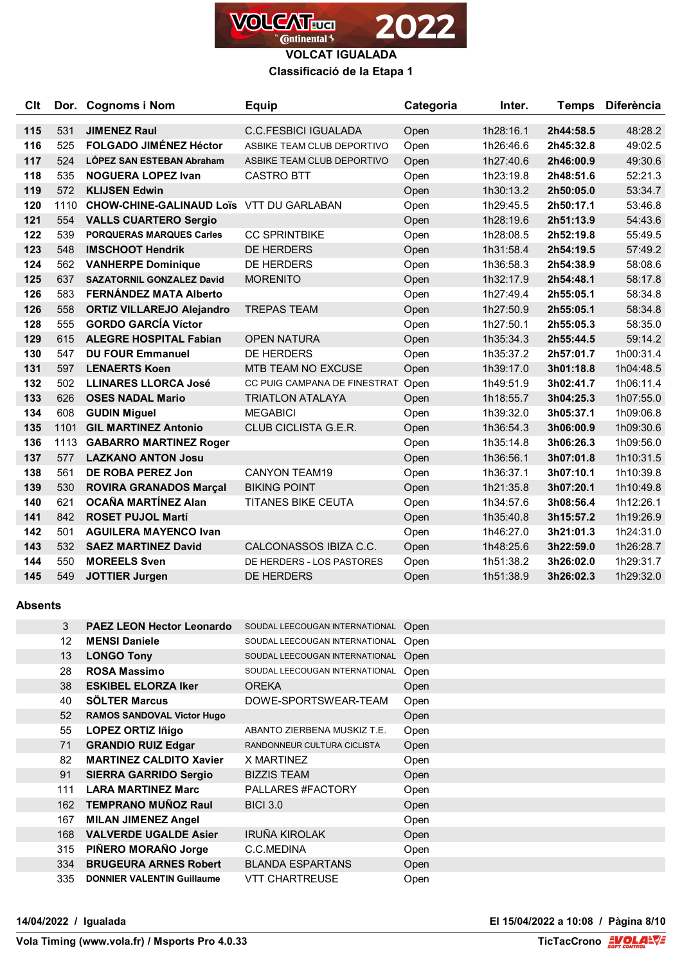

## **Classificació de la Etapa 1**

| C <sub>it</sub> |      | Dor. Cognoms i Nom                              | <b>Equip</b>                 | Categoria | Inter.    | <b>Temps</b> | <b>Diferència</b> |
|-----------------|------|-------------------------------------------------|------------------------------|-----------|-----------|--------------|-------------------|
| 115             | 531  | <b>JIMENEZ Raul</b>                             | <b>C.C.FESBICI IGUALADA</b>  | Open      | 1h28:16.1 | 2h44:58.5    | 48:28.2           |
| 116             | 525  | <b>FOLGADO JIMÉNEZ Héctor</b>                   | ASBIKE TEAM CLUB DEPORTIVO   | Open      | 1h26:46.6 | 2h45:32.8    | 49:02.5           |
| 117             | 524  | LÓPEZ SAN ESTEBAN Abraham                       | ASBIKE TEAM CLUB DEPORTIVO   | Open      | 1h27:40.6 | 2h46:00.9    | 49:30.6           |
| 118             | 535  | <b>NOGUERA LOPEZ Ivan</b>                       | <b>CASTRO BTT</b>            | Open      | 1h23:19.8 | 2h48:51.6    | 52:21.3           |
| 119             | 572  | <b>KLIJSEN Edwin</b>                            |                              | Open      | 1h30:13.2 | 2h50:05.0    | 53:34.7           |
| 120             | 1110 | <b>CHOW-CHINE-GALINAUD Loïs VTT DU GARLABAN</b> |                              | Open      | 1h29:45.5 | 2h50:17.1    | 53:46.8           |
| 121             | 554  | <b>VALLS CUARTERO Sergio</b>                    |                              | Open      | 1h28:19.6 | 2h51:13.9    | 54:43.6           |
| 122             | 539  | <b>PORQUERAS MARQUES Carles</b>                 | <b>CC SPRINTBIKE</b>         | Open      | 1h28:08.5 | 2h52:19.8    | 55:49.5           |
| 123             | 548  | <b>IMSCHOOT Hendrik</b>                         | <b>DE HERDERS</b>            | Open      | 1h31:58.4 | 2h54:19.5    | 57:49.2           |
| 124             | 562  | <b>VANHERPE Dominique</b>                       | <b>DE HERDERS</b>            | Open      | 1h36:58.3 | 2h54:38.9    | 58:08.6           |
| 125             | 637  | <b>SAZATORNIL GONZALEZ David</b>                | <b>MORENITO</b>              | Open      | 1h32:17.9 | 2h54:48.1    | 58:17.8           |
| 126             | 583  | FERNÁNDEZ MATA Alberto                          |                              | Open      | 1h27:49.4 | 2h55:05.1    | 58:34.8           |
| 126             | 558  | <b>ORTIZ VILLAREJO Alejandro</b>                | <b>TREPAS TEAM</b>           | Open      | 1h27:50.9 | 2h55:05.1    | 58:34.8           |
| 128             | 555  | <b>GORDO GARCÍA Víctor</b>                      |                              | Open      | 1h27:50.1 | 2h55:05.3    | 58:35.0           |
| 129             | 615  | <b>ALEGRE HOSPITAL Fabian</b>                   | <b>OPEN NATURA</b>           | Open      | 1h35:34.3 | 2h55:44.5    | 59:14.2           |
| 130             | 547  | <b>DU FOUR Emmanuel</b>                         | <b>DE HERDERS</b>            | Open      | 1h35:37.2 | 2h57:01.7    | 1h00:31.4         |
| 131             | 597  | <b>LENAERTS Koen</b>                            | <b>MTB TEAM NO EXCUSE</b>    | Open      | 1h39:17.0 | 3h01:18.8    | 1h04:48.5         |
| 132             | 502  | <b>LLINARES LLORCA José</b>                     | CC PUIG CAMPANA DE FINESTRAT | Open      | 1h49:51.9 | 3h02:41.7    | 1h06:11.4         |
| 133             | 626  | <b>OSES NADAL Mario</b>                         | <b>TRIATLON ATALAYA</b>      | Open      | 1h18:55.7 | 3h04:25.3    | 1h07:55.0         |
| 134             | 608  | <b>GUDIN Miguel</b>                             | <b>MEGABICI</b>              | Open      | 1h39:32.0 | 3h05:37.1    | 1h09:06.8         |
| 135             | 1101 | <b>GIL MARTINEZ Antonio</b>                     | <b>CLUB CICLISTA G.E.R.</b>  | Open      | 1h36:54.3 | 3h06:00.9    | 1h09:30.6         |
| 136             | 1113 | <b>GABARRO MARTINEZ Roger</b>                   |                              | Open      | 1h35:14.8 | 3h06:26.3    | 1h09:56.0         |
| 137             | 577  | <b>LAZKANO ANTON Josu</b>                       |                              | Open      | 1h36:56.1 | 3h07:01.8    | 1h10:31.5         |
| 138             | 561  | DE ROBA PEREZ Jon                               | <b>CANYON TEAM19</b>         | Open      | 1h36:37.1 | 3h07:10.1    | 1h10:39.8         |
| 139             | 530  | <b>ROVIRA GRANADOS Marçal</b>                   | <b>BIKING POINT</b>          | Open      | 1h21:35.8 | 3h07:20.1    | 1h10:49.8         |
| 140             | 621  | <b>OCAÑA MARTÍNEZ Alan</b>                      | <b>TITANES BIKE CEUTA</b>    | Open      | 1h34:57.6 | 3h08:56.4    | 1h12:26.1         |
| 141             | 842  | <b>ROSET PUJOL Martí</b>                        |                              | Open      | 1h35:40.8 | 3h15:57.2    | 1h19:26.9         |
| 142             | 501  | <b>AGUILERA MAYENCO Ivan</b>                    |                              | Open      | 1h46:27.0 | 3h21:01.3    | 1h24:31.0         |
| 143             | 532  | <b>SAEZ MARTINEZ David</b>                      | CALCONASSOS IBIZA C.C.       | Open      | 1h48:25.6 | 3h22:59.0    | 1h26:28.7         |
| 144             | 550  | <b>MOREELS Sven</b>                             | DE HERDERS - LOS PASTORES    | Open      | 1h51:38.2 | 3h26:02.0    | 1h29:31.7         |
| 145             | 549  | <b>JOTTIER Jurgen</b>                           | <b>DE HERDERS</b>            | Open      | 1h51:38.9 | 3h26:02.3    | 1h29:32.0         |

### **Absents**

| <b>PAEZ LEON Hector Leonardo</b>  | SOUDAL LEECOUGAN INTERNATIONAL | Open |
|-----------------------------------|--------------------------------|------|
| <b>MENSI Daniele</b>              | SOUDAL LEECOUGAN INTERNATIONAL | Open |
| <b>LONGO Tony</b>                 | SOUDAL LEECOUGAN INTERNATIONAL | Open |
| <b>ROSA Massimo</b>               | SOUDAL LEECOUGAN INTERNATIONAL | Open |
| <b>ESKIBEL ELORZA Iker</b>        | <b>OREKA</b>                   | Open |
| <b>SÖLTER Marcus</b>              | DOWE-SPORTSWEAR-TEAM           | Open |
| <b>RAMOS SANDOVAL Victor Hugo</b> |                                | Open |
| <b>LOPEZ ORTIZ Iñigo</b>          | ABANTO ZIERBENA MUSKIZ T.E.    | Open |
| <b>GRANDIO RUIZ Edgar</b>         | RANDONNEUR CULTURA CICLISTA    | Open |
| <b>MARTINEZ CALDITO Xavier</b>    | <b>X MARTINEZ</b>              | Open |
| <b>SIERRA GARRIDO Sergio</b>      | <b>BIZZIS TEAM</b>             | Open |
| <b>LARA MARTINEZ Marc</b>         | PALLARES #FACTORY              | Open |
| <b>TEMPRANO MUÑOZ Raul</b>        | <b>BICI 3.0</b>                | Open |
| <b>MILAN JIMENEZ Angel</b>        |                                | Open |
| <b>VALVERDE UGALDE Asier</b>      | <b>IRUÑA KIROLAK</b>           | Open |
| PIÑERO MORAÑO Jorge               | C.C.MEDINA                     | Open |
| <b>BRUGEURA ARNES Robert</b>      | <b>BLANDA ESPARTANS</b>        | Open |
| <b>DONNIER VALENTIN Guillaume</b> | VTT CHARTREUSE                 | Open |
|                                   |                                |      |

**14/04/2022 / Igualada El 15/04/2022 a 10:08 / Pàgina 8/10**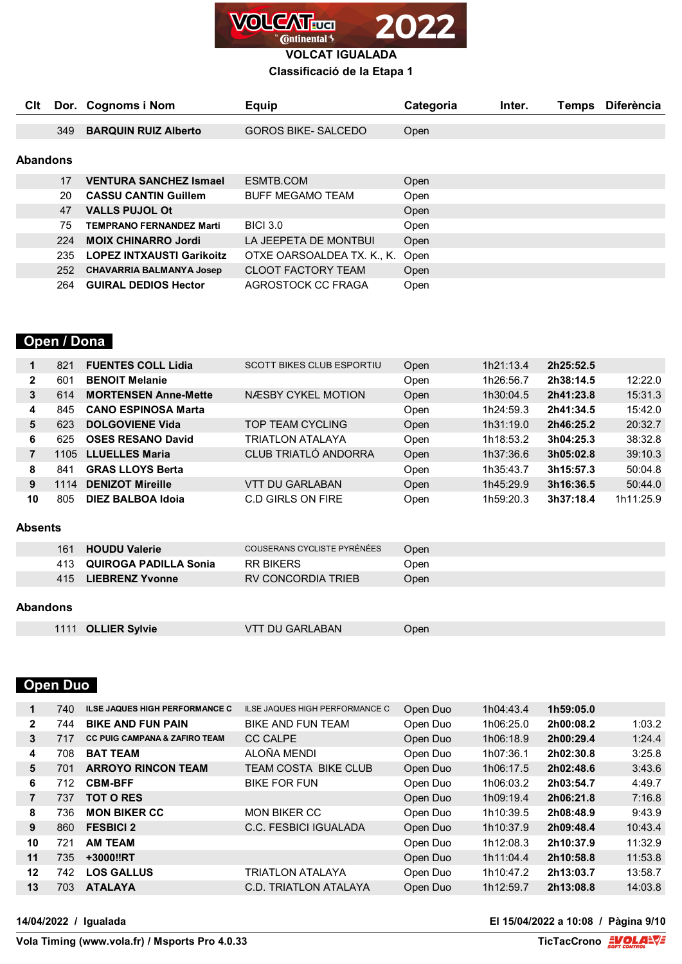

## **Classificació de la Etapa 1**

| Clt |          | Dor. Cognoms i Nom               | <b>Equip</b>               | Categoria | Inter. | <b>Temps</b> | <b>Diferència</b> |  |  |
|-----|----------|----------------------------------|----------------------------|-----------|--------|--------------|-------------------|--|--|
|     | 349      | <b>BARQUIN RUIZ Alberto</b>      | <b>GOROS BIKE- SALCEDO</b> | Open      |        |              |                   |  |  |
|     |          |                                  |                            |           |        |              |                   |  |  |
|     | Abandons |                                  |                            |           |        |              |                   |  |  |
|     | 17       | <b>VENTURA SANCHEZ Ismael</b>    | ESMTB.COM                  | Open      |        |              |                   |  |  |
|     | 20       | <b>CASSU CANTIN Guillem</b>      | <b>BUFF MEGAMO TEAM</b>    | Open      |        |              |                   |  |  |
|     | 47       | <b>VALLS PUJOL Ot</b>            |                            | Open      |        |              |                   |  |  |
|     | 75       | <b>TEMPRANO FERNANDEZ Marti</b>  | <b>BICI 3.0</b>            | Open      |        |              |                   |  |  |
|     | 224      | <b>MOIX CHINARRO Jordi</b>       | LA JEEPETA DE MONTBUI      | Open      |        |              |                   |  |  |
|     | 235      | <b>LOPEZ INTXAUSTI Garikoitz</b> | OTXE OARSOALDEA TX. K., K. | Open      |        |              |                   |  |  |
|     | 252      | <b>CHAVARRIA BALMANYA Josep</b>  | <b>CLOOT FACTORY TEAM</b>  | Open      |        |              |                   |  |  |
|     | 264      | <b>GUIRAL DEDIOS Hector</b>      | AGROSTOCK CC FRAGA         | Open      |        |              |                   |  |  |

## **Open / Dona**

| $\mathbf 1$    | 821  | <b>FUENTES COLL Lidia</b>    | <b>SCOTT BIKES CLUB ESPORTIU</b> | Open | 1h21:13.4 | 2h25:52.5 |           |
|----------------|------|------------------------------|----------------------------------|------|-----------|-----------|-----------|
| $\mathbf{2}$   | 601  | <b>BENOIT Melanie</b>        |                                  | Open | 1h26:56.7 | 2h38:14.5 | 12:22.0   |
| 3              | 614  | <b>MORTENSEN Anne-Mette</b>  | NÆSBY CYKEL MOTION               | Open | 1h30:04.5 | 2h41:23.8 | 15:31.3   |
| 4              | 845  | <b>CANO ESPINOSA Marta</b>   |                                  | Open | 1h24:59.3 | 2h41:34.5 | 15:42.0   |
| 5              | 623  | <b>DOLGOVIENE Vida</b>       | TOP TEAM CYCLING                 | Open | 1h31:19.0 | 2h46:25.2 | 20:32.7   |
| 6              | 625  | <b>OSES RESANO David</b>     | TRIATLON ATALAYA                 | Open | 1h18:53.2 | 3h04:25.3 | 38:32.8   |
| $\overline{7}$ | 1105 | <b>LLUELLES Maria</b>        | CLUB TRIATLÓ ANDORRA             | Open | 1h37:36.6 | 3h05:02.8 | 39:10.3   |
| 8              | 841  | <b>GRAS LLOYS Berta</b>      |                                  | Open | 1h35:43.7 | 3h15:57.3 | 50:04.8   |
| 9              | 1114 | <b>DENIZOT Mireille</b>      | VTT DU GARLABAN                  | Open | 1h45:29.9 | 3h16:36.5 | 50:44.0   |
| 10             | 805  | DIEZ BALBOA Idoia            | C.D GIRLS ON FIRE                | Open | 1h59:20.3 | 3h37:18.4 | 1h11:25.9 |
|                |      |                              |                                  |      |           |           |           |
| Absents        |      |                              |                                  |      |           |           |           |
|                | 161  | <b>HOUDU Valerie</b>         | COUSERANS CYCLISTE PYRÉNÉES      | Open |           |           |           |
|                | 413  | <b>QUIROGA PADILLA Sonia</b> | <b>RR BIKERS</b>                 | Open |           |           |           |
|                | 415  | <b>LIEBRENZ Yvonne</b>       | RV CONCORDIA TRIEB               | Open |           |           |           |
|                |      |                              |                                  |      |           |           |           |

### **Abandons**

|             | <b>VTT DU GARLABAN</b>                                                           |                    |
|-------------|----------------------------------------------------------------------------------|--------------------|
| <b>Open</b> | ,我们就会在这里,我们就会在这里,我们就会在这里,我们就会在这里,我们就会在这里,我们就会在这里,我们就会在这里,我们就会在这里,我们就会在这里,我们就会在这里 | 1111 OLLIER Sylvie |

# **Open Duo**

| 1              | 740. | <b>ILSE JAQUES HIGH PERFORMANCE C</b>    | ILSE JAQUES HIGH PERFORMANCE C | Open Duo | 1h04:43.4 | 1h59:05.0 |         |
|----------------|------|------------------------------------------|--------------------------------|----------|-----------|-----------|---------|
| $\mathbf{2}$   | 744  | <b>BIKE AND FUN PAIN</b>                 | <b>BIKE AND FUN TEAM</b>       | Open Duo | 1h06:25.0 | 2h00:08.2 | 1:03.2  |
| 3              | 717  | <b>CC PUIG CAMPANA &amp; ZAFIRO TEAM</b> | <b>CC CALPE</b>                | Open Duo | 1h06:18.9 | 2h00:29.4 | 1:24.4  |
| 4              | 708  | <b>BAT TEAM</b>                          | ALOÑA MENDI                    | Open Duo | 1h07:36.1 | 2h02:30.8 | 3:25.8  |
| 5              | 701  | <b>ARROYO RINCON TEAM</b>                | TEAM COSTA BIKE CLUB           | Open Duo | 1h06:17.5 | 2h02:48.6 | 3:43.6  |
| 6              | 712  | <b>CBM-BFF</b>                           | <b>BIKE FOR FUN</b>            | Open Duo | 1h06:03.2 | 2h03:54.7 | 4:49.7  |
| $\overline{7}$ | 737  | <b>TOT O RES</b>                         |                                | Open Duo | 1h09:19.4 | 2h06:21.8 | 7:16.8  |
| 8              | 736  | <b>MON BIKER CC</b>                      | <b>MON BIKER CC</b>            | Open Duo | 1h10:39.5 | 2h08:48.9 | 9:43.9  |
| 9              | 860  | <b>FESBICI 2</b>                         | C.C. FESBICI IGUALADA          | Open Duo | 1h10:37.9 | 2h09:48.4 | 10:43.4 |
| 10             | 721  | <b>AM TEAM</b>                           |                                | Open Duo | 1h12:08.3 | 2h10:37.9 | 11:32.9 |
| 11             | 735  | +3000‼RT                                 |                                | Open Duo | 1h11:04.4 | 2h10:58.8 | 11:53.8 |
| 12             | 742  | <b>LOS GALLUS</b>                        | <b>TRIATLON ATALAYA</b>        | Open Duo | 1h10:47.2 | 2h13:03.7 | 13:58.7 |
| 13             | 703. | <b>ATALAYA</b>                           | C.D. TRIATLON ATALAYA          | Open Duo | 1h12:59.7 | 2h13:08.8 | 14:03.8 |

#### **14/04/2022 / Igualada El 15/04/2022 a 10:08 / Pàgina 9/10**